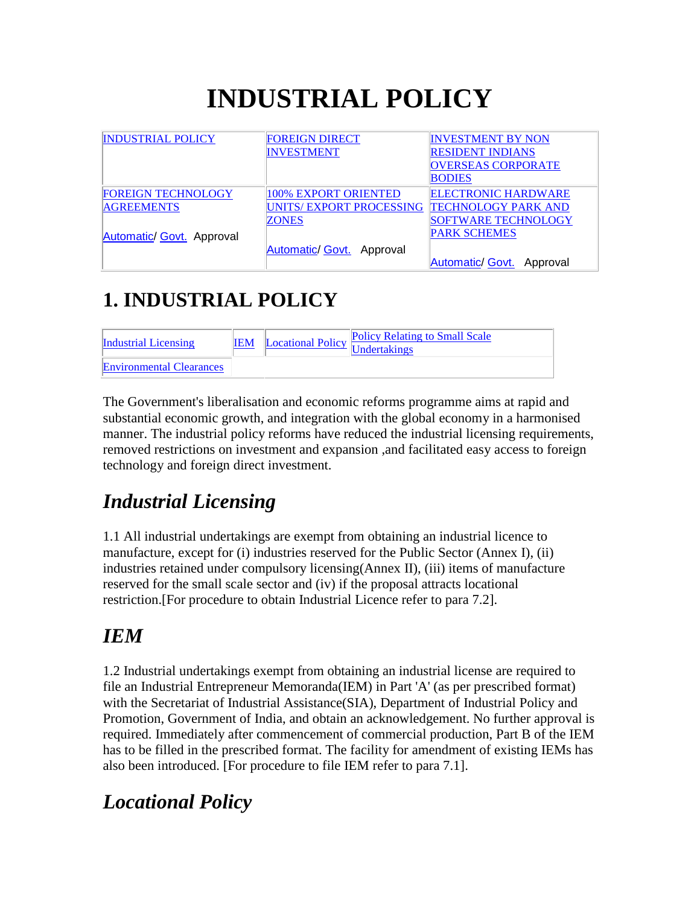# **INDUSTRIAL POLICY**

| <b>INDUSTRIAL POLICY</b>  | <b>FOREIGN DIRECT</b>     | <b>INVESTMENT BY NON</b>   |
|---------------------------|---------------------------|----------------------------|
|                           | <b>INVESTMENT</b>         | <b>RESIDENT INDIANS</b>    |
|                           |                           | <b>OVERSEAS CORPORATE</b>  |
|                           |                           | <b>BODIES</b>              |
| <b>FOREIGN TECHNOLOGY</b> | 100% EXPORT ORIENTED      | <b>ELECTRONIC HARDWARE</b> |
| <b>AGREEMENTS</b>         | UNITS/EXPORT PROCESSING   | <b>TECHNOLOGY PARK AND</b> |
|                           | <b>ZONES</b>              | <b>SOFTWARE TECHNOLOGY</b> |
| Automatic/ Govt. Approval |                           | <b>PARK SCHEMES</b>        |
|                           | Automatic/ Govt. Approval |                            |
|                           |                           | Automatic/ Govt. Approval  |

### **1. INDUSTRIAL POLICY**

| <b>Industrial Licensing</b>     | <b>IEM</b> | <b>Locational Policy Policy Relating to Small Scale</b> |
|---------------------------------|------------|---------------------------------------------------------|
| <b>Environmental Clearances</b> |            |                                                         |

The Government's liberalisation and economic reforms programme aims at rapid and substantial economic growth, and integration with the global economy in a harmonised manner. The industrial policy reforms have reduced the industrial licensing requirements, removed restrictions on investment and expansion ,and facilitated easy access to foreign technology and foreign direct investment.

### *Industrial Licensing*

1.1 All industrial undertakings are exempt from obtaining an industrial licence to manufacture, except for (i) industries reserved for the Public Sector (Annex I), (ii) industries retained under compulsory licensing(Annex II), (iii) items of manufacture reserved for the small scale sector and (iv) if the proposal attracts locational restriction.[For procedure to obtain Industrial Licence refer to para 7.2].

### *IEM*

1.2 Industrial undertakings exempt from obtaining an industrial license are required to file an Industrial Entrepreneur Memoranda(IEM) in Part 'A' (as per prescribed format) with the Secretariat of Industrial Assistance(SIA), Department of Industrial Policy and Promotion, Government of India, and obtain an acknowledgement. No further approval is required. Immediately after commencement of commercial production, Part B of the IEM has to be filled in the prescribed format. The facility for amendment of existing IEMs has also been introduced. [For procedure to file IEM refer to para 7.1].

### *Locational Policy*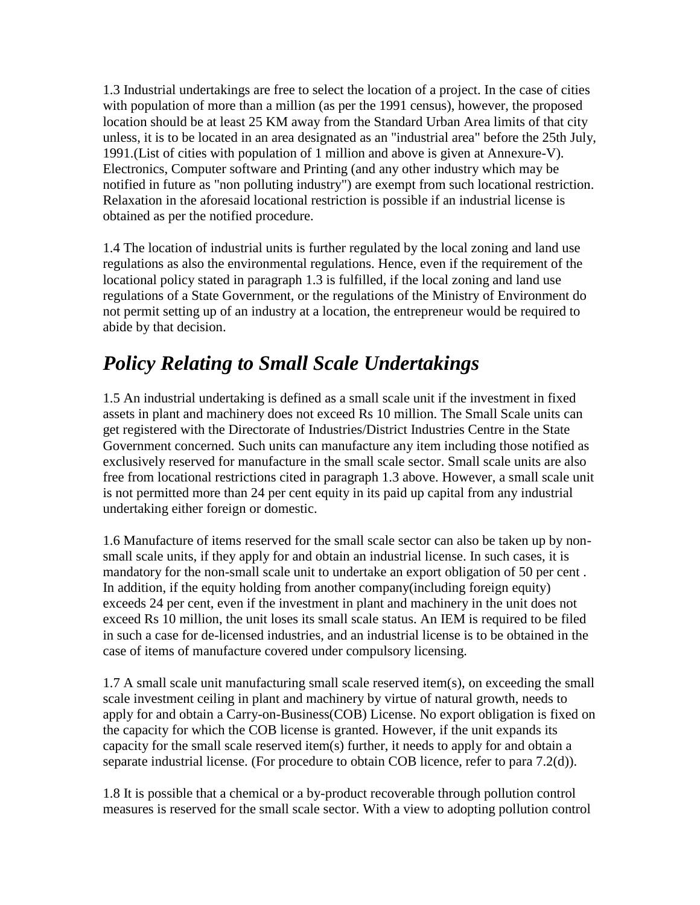1.3 Industrial undertakings are free to select the location of a project. In the case of cities with population of more than a million (as per the 1991 census), however, the proposed location should be at least 25 KM away from the Standard Urban Area limits of that city unless, it is to be located in an area designated as an "industrial area" before the 25th July, 1991.(List of cities with population of 1 million and above is given at Annexure-V). Electronics, Computer software and Printing (and any other industry which may be notified in future as "non polluting industry") are exempt from such locational restriction. Relaxation in the aforesaid locational restriction is possible if an industrial license is obtained as per the notified procedure.

1.4 The location of industrial units is further regulated by the local zoning and land use regulations as also the environmental regulations. Hence, even if the requirement of the locational policy stated in paragraph 1.3 is fulfilled, if the local zoning and land use regulations of a State Government, or the regulations of the Ministry of Environment do not permit setting up of an industry at a location, the entrepreneur would be required to abide by that decision.

### *Policy Relating to Small Scale Undertakings*

1.5 An industrial undertaking is defined as a small scale unit if the investment in fixed assets in plant and machinery does not exceed Rs 10 million. The Small Scale units can get registered with the Directorate of Industries/District Industries Centre in the State Government concerned. Such units can manufacture any item including those notified as exclusively reserved for manufacture in the small scale sector. Small scale units are also free from locational restrictions cited in paragraph 1.3 above. However, a small scale unit is not permitted more than 24 per cent equity in its paid up capital from any industrial undertaking either foreign or domestic.

1.6 Manufacture of items reserved for the small scale sector can also be taken up by nonsmall scale units, if they apply for and obtain an industrial license. In such cases, it is mandatory for the non-small scale unit to undertake an export obligation of 50 per cent . In addition, if the equity holding from another company(including foreign equity) exceeds 24 per cent, even if the investment in plant and machinery in the unit does not exceed Rs 10 million, the unit loses its small scale status. An IEM is required to be filed in such a case for de-licensed industries, and an industrial license is to be obtained in the case of items of manufacture covered under compulsory licensing.

1.7 A small scale unit manufacturing small scale reserved item(s), on exceeding the small scale investment ceiling in plant and machinery by virtue of natural growth, needs to apply for and obtain a Carry-on-Business(COB) License. No export obligation is fixed on the capacity for which the COB license is granted. However, if the unit expands its capacity for the small scale reserved item(s) further, it needs to apply for and obtain a separate industrial license. (For procedure to obtain COB licence, refer to para 7.2(d)).

1.8 It is possible that a chemical or a by-product recoverable through pollution control measures is reserved for the small scale sector. With a view to adopting pollution control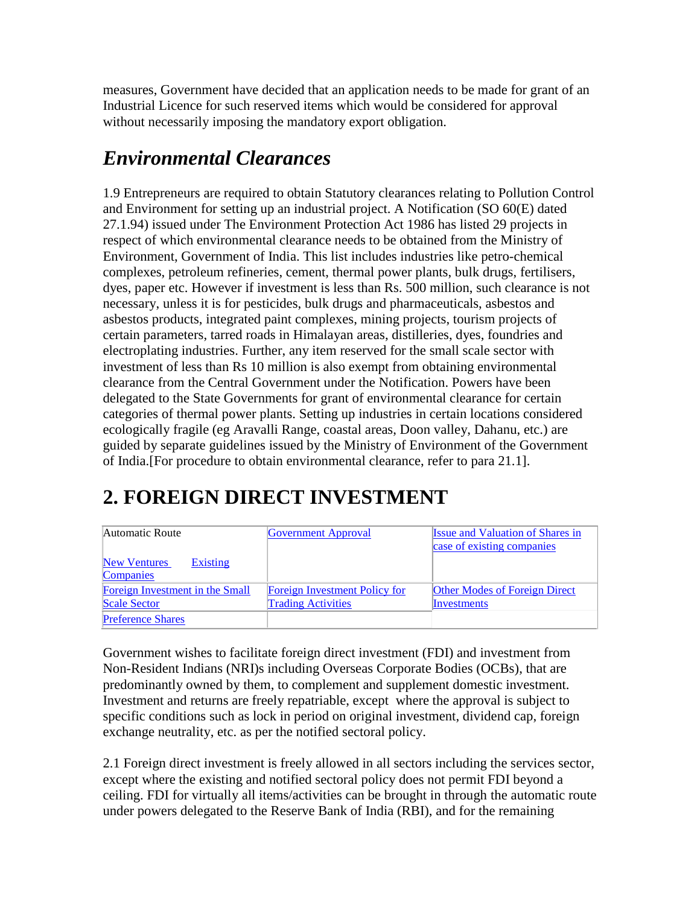measures, Government have decided that an application needs to be made for grant of an Industrial Licence for such reserved items which would be considered for approval without necessarily imposing the mandatory export obligation.

### *Environmental Clearances*

1.9 Entrepreneurs are required to obtain Statutory clearances relating to Pollution Control and Environment for setting up an industrial project. A Notification (SO 60(E) dated 27.1.94) issued under The Environment Protection Act 1986 has listed 29 projects in respect of which environmental clearance needs to be obtained from the Ministry of Environment, Government of India. This list includes industries like petro-chemical complexes, petroleum refineries, cement, thermal power plants, bulk drugs, fertilisers, dyes, paper etc. However if investment is less than Rs. 500 million, such clearance is not necessary, unless it is for pesticides, bulk drugs and pharmaceuticals, asbestos and asbestos products, integrated paint complexes, mining projects, tourism projects of certain parameters, tarred roads in Himalayan areas, distilleries, dyes, foundries and electroplating industries. Further, any item reserved for the small scale sector with investment of less than Rs 10 million is also exempt from obtaining environmental clearance from the Central Government under the Notification. Powers have been delegated to the State Governments for grant of environmental clearance for certain categories of thermal power plants. Setting up industries in certain locations considered ecologically fragile (eg Aravalli Range, coastal areas, Doon valley, Dahanu, etc.) are guided by separate guidelines issued by the Ministry of Environment of the Government of India.[For procedure to obtain environmental clearance, refer to para 21.1].

### **2. FOREIGN DIRECT INVESTMENT**

| Automatic Route                              | <b>Government Approval</b>           | <b>Issue and Valuation of Shares in</b><br>case of existing companies |
|----------------------------------------------|--------------------------------------|-----------------------------------------------------------------------|
| <b>Existing</b><br>New Ventures<br>Companies |                                      |                                                                       |
| Foreign Investment in the Small              | <b>Foreign Investment Policy for</b> | <b>Other Modes of Foreign Direct</b>                                  |
| <b>Scale Sector</b>                          | <b>Trading Activities</b>            | Investments                                                           |
| <b>Preference Shares</b>                     |                                      |                                                                       |

Government wishes to facilitate foreign direct investment (FDI) and investment from Non-Resident Indians (NRI)s including Overseas Corporate Bodies (OCBs), that are predominantly owned by them, to complement and supplement domestic investment. Investment and returns are freely repatriable, except where the approval is subject to specific conditions such as lock in period on original investment, dividend cap, foreign exchange neutrality, etc. as per the notified sectoral policy.

2.1 Foreign direct investment is freely allowed in all sectors including the services sector, except where the existing and notified sectoral policy does not permit FDI beyond a ceiling. FDI for virtually all items/activities can be brought in through the automatic route under powers delegated to the Reserve Bank of India (RBI), and for the remaining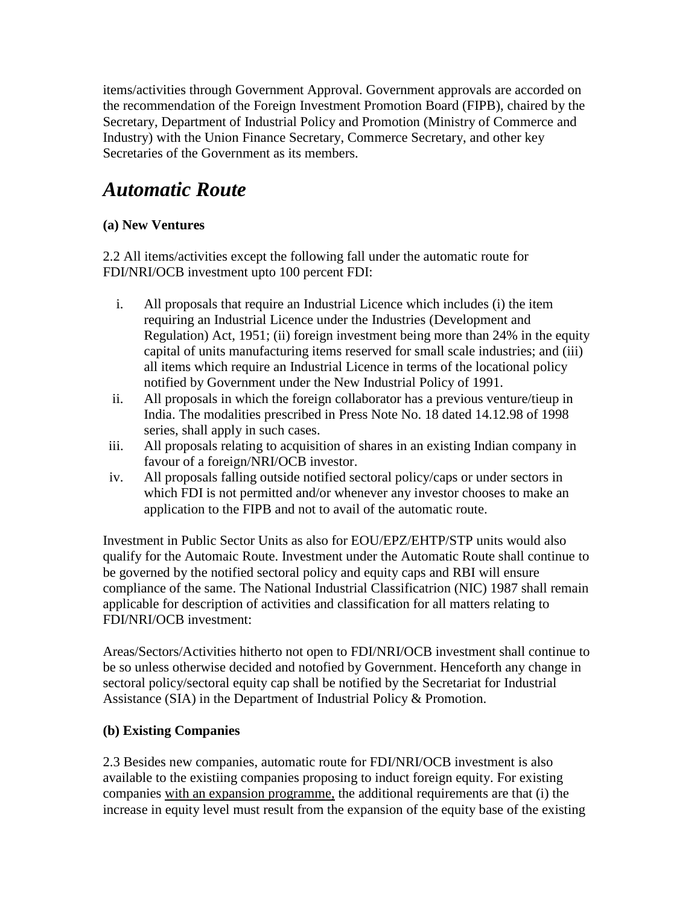items/activities through Government Approval. Government approvals are accorded on the recommendation of the Foreign Investment Promotion Board (FIPB), chaired by the Secretary, Department of Industrial Policy and Promotion (Ministry of Commerce and Industry) with the Union Finance Secretary, Commerce Secretary, and other key Secretaries of the Government as its members.

### *Automatic Route*

#### **(a) New Ventures**

2.2 All items/activities except the following fall under the automatic route for FDI/NRI/OCB investment upto 100 percent FDI:

- i. All proposals that require an Industrial Licence which includes (i) the item requiring an Industrial Licence under the Industries (Development and Regulation) Act, 1951; (ii) foreign investment being more than 24% in the equity capital of units manufacturing items reserved for small scale industries; and (iii) all items which require an Industrial Licence in terms of the locational policy notified by Government under the New Industrial Policy of 1991.
- ii. All proposals in which the foreign collaborator has a previous venture/tieup in India. The modalities prescribed in Press Note No. 18 dated 14.12.98 of 1998 series, shall apply in such cases.
- iii. All proposals relating to acquisition of shares in an existing Indian company in favour of a foreign/NRI/OCB investor.
- iv. All proposals falling outside notified sectoral policy/caps or under sectors in which FDI is not permitted and/or whenever any investor chooses to make an application to the FIPB and not to avail of the automatic route.

Investment in Public Sector Units as also for EOU/EPZ/EHTP/STP units would also qualify for the Automaic Route. Investment under the Automatic Route shall continue to be governed by the notified sectoral policy and equity caps and RBI will ensure compliance of the same. The National Industrial Classificatrion (NIC) 1987 shall remain applicable for description of activities and classification for all matters relating to FDI/NRI/OCB investment:

Areas/Sectors/Activities hitherto not open to FDI/NRI/OCB investment shall continue to be so unless otherwise decided and notofied by Government. Henceforth any change in sectoral policy/sectoral equity cap shall be notified by the Secretariat for Industrial Assistance (SIA) in the Department of Industrial Policy & Promotion.

#### **(b) Existing Companies**

2.3 Besides new companies, automatic route for FDI/NRI/OCB investment is also available to the existiing companies proposing to induct foreign equity. For existing companies with an expansion programme, the additional requirements are that (i) the increase in equity level must result from the expansion of the equity base of the existing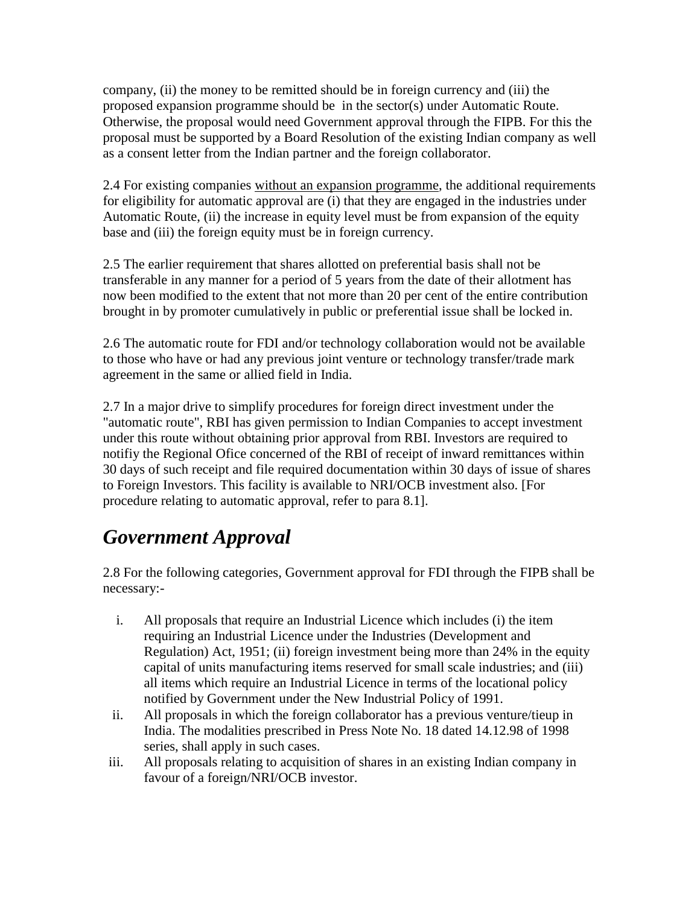company, (ii) the money to be remitted should be in foreign currency and (iii) the proposed expansion programme should be in the sector(s) under Automatic Route. Otherwise, the proposal would need Government approval through the FIPB. For this the proposal must be supported by a Board Resolution of the existing Indian company as well as a consent letter from the Indian partner and the foreign collaborator.

2.4 For existing companies without an expansion programme, the additional requirements for eligibility for automatic approval are (i) that they are engaged in the industries under Automatic Route, (ii) the increase in equity level must be from expansion of the equity base and (iii) the foreign equity must be in foreign currency.

2.5 The earlier requirement that shares allotted on preferential basis shall not be transferable in any manner for a period of 5 years from the date of their allotment has now been modified to the extent that not more than 20 per cent of the entire contribution brought in by promoter cumulatively in public or preferential issue shall be locked in.

2.6 The automatic route for FDI and/or technology collaboration would not be available to those who have or had any previous joint venture or technology transfer/trade mark agreement in the same or allied field in India.

2.7 In a major drive to simplify procedures for foreign direct investment under the "automatic route", RBI has given permission to Indian Companies to accept investment under this route without obtaining prior approval from RBI. Investors are required to notifiy the Regional Ofice concerned of the RBI of receipt of inward remittances within 30 days of such receipt and file required documentation within 30 days of issue of shares to Foreign Investors. This facility is available to NRI/OCB investment also. [For procedure relating to automatic approval, refer to para 8.1].

### *Government Approval*

2.8 For the following categories, Government approval for FDI through the FIPB shall be necessary:-

- i. All proposals that require an Industrial Licence which includes (i) the item requiring an Industrial Licence under the Industries (Development and Regulation) Act, 1951; (ii) foreign investment being more than 24% in the equity capital of units manufacturing items reserved for small scale industries; and (iii) all items which require an Industrial Licence in terms of the locational policy notified by Government under the New Industrial Policy of 1991.
- ii. All proposals in which the foreign collaborator has a previous venture/tieup in India. The modalities prescribed in Press Note No. 18 dated 14.12.98 of 1998 series, shall apply in such cases.
- iii. All proposals relating to acquisition of shares in an existing Indian company in favour of a foreign/NRI/OCB investor.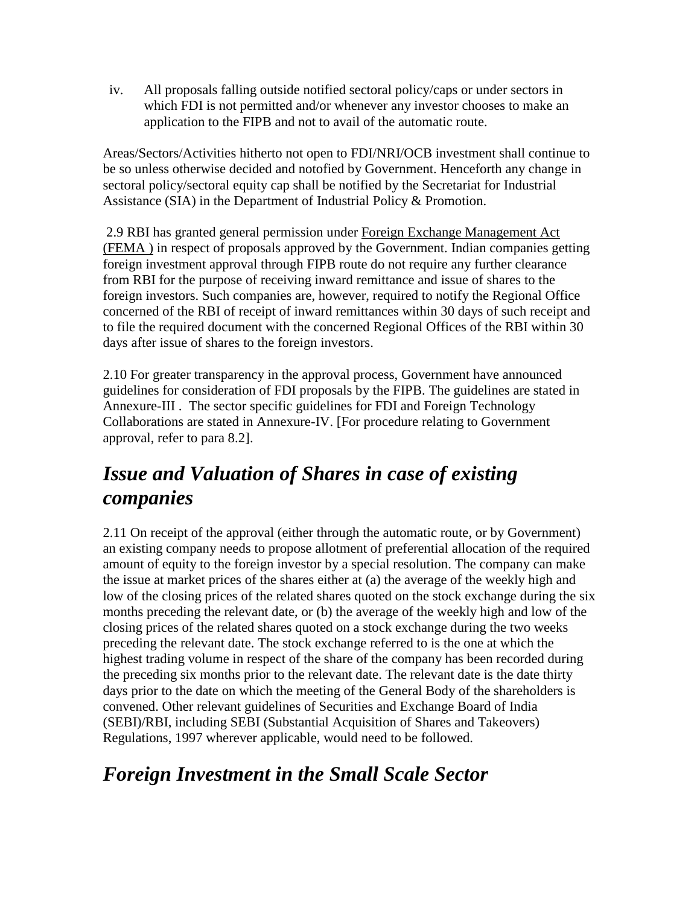iv. All proposals falling outside notified sectoral policy/caps or under sectors in which FDI is not permitted and/or whenever any investor chooses to make an application to the FIPB and not to avail of the automatic route.

Areas/Sectors/Activities hitherto not open to FDI/NRI/OCB investment shall continue to be so unless otherwise decided and notofied by Government. Henceforth any change in sectoral policy/sectoral equity cap shall be notified by the Secretariat for Industrial Assistance (SIA) in the Department of Industrial Policy & Promotion.

2.9 RBI has granted general permission under Foreign Exchange Management Act (FEMA ) in respect of proposals approved by the Government. Indian companies getting foreign investment approval through FIPB route do not require any further clearance from RBI for the purpose of receiving inward remittance and issue of shares to the foreign investors. Such companies are, however, required to notify the Regional Office concerned of the RBI of receipt of inward remittances within 30 days of such receipt and to file the required document with the concerned Regional Offices of the RBI within 30 days after issue of shares to the foreign investors.

2.10 For greater transparency in the approval process, Government have announced guidelines for consideration of FDI proposals by the FIPB. The guidelines are stated in Annexure-III . The sector specific guidelines for FDI and Foreign Technology Collaborations are stated in Annexure-IV. [For procedure relating to Government approval, refer to para 8.2].

### *Issue and Valuation of Shares in case of existing companies*

2.11 On receipt of the approval (either through the automatic route, or by Government) an existing company needs to propose allotment of preferential allocation of the required amount of equity to the foreign investor by a special resolution. The company can make the issue at market prices of the shares either at (a) the average of the weekly high and low of the closing prices of the related shares quoted on the stock exchange during the six months preceding the relevant date, or (b) the average of the weekly high and low of the closing prices of the related shares quoted on a stock exchange during the two weeks preceding the relevant date. The stock exchange referred to is the one at which the highest trading volume in respect of the share of the company has been recorded during the preceding six months prior to the relevant date. The relevant date is the date thirty days prior to the date on which the meeting of the General Body of the shareholders is convened. Other relevant guidelines of Securities and Exchange Board of India (SEBI)/RBI, including SEBI (Substantial Acquisition of Shares and Takeovers) Regulations, 1997 wherever applicable, would need to be followed.

### *Foreign Investment in the Small Scale Sector*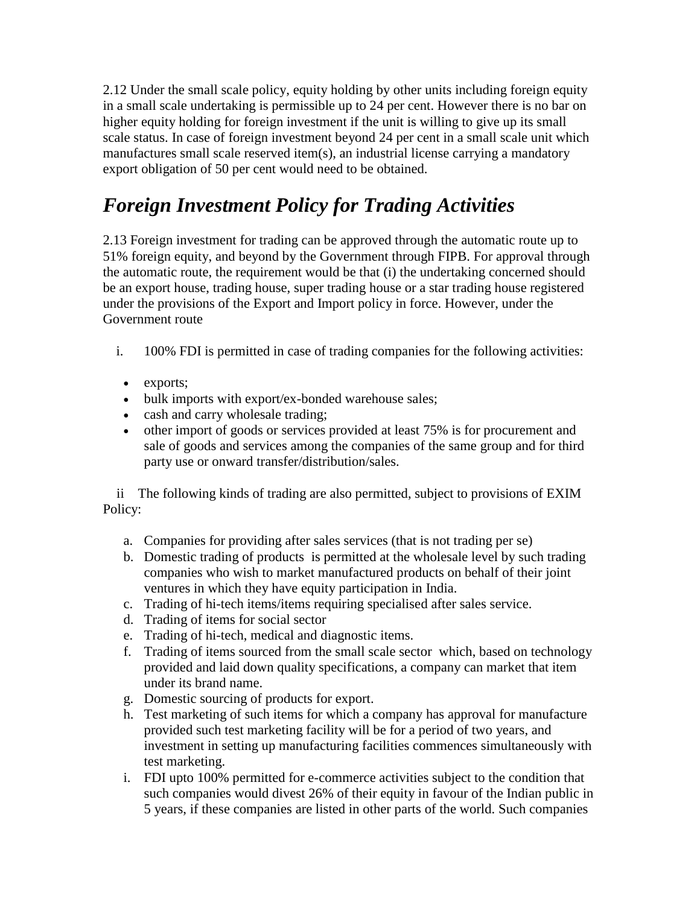2.12 Under the small scale policy, equity holding by other units including foreign equity in a small scale undertaking is permissible up to 24 per cent. However there is no bar on higher equity holding for foreign investment if the unit is willing to give up its small scale status. In case of foreign investment beyond 24 per cent in a small scale unit which manufactures small scale reserved item(s), an industrial license carrying a mandatory export obligation of 50 per cent would need to be obtained.

### *Foreign Investment Policy for Trading Activities*

2.13 Foreign investment for trading can be approved through the automatic route up to 51% foreign equity, and beyond by the Government through FIPB. For approval through the automatic route, the requirement would be that (i) the undertaking concerned should be an export house, trading house, super trading house or a star trading house registered under the provisions of the Export and Import policy in force. However, under the Government route

- i. 100% FDI is permitted in case of trading companies for the following activities:
	- exports;
	- bulk imports with export/ex-bonded warehouse sales;
	- cash and carry wholesale trading;
	- other import of goods or services provided at least 75% is for procurement and sale of goods and services among the companies of the same group and for third party use or onward transfer/distribution/sales.

 ii The following kinds of trading are also permitted, subject to provisions of EXIM Policy:

- a. Companies for providing after sales services (that is not trading per se)
- b. Domestic trading of products is permitted at the wholesale level by such trading companies who wish to market manufactured products on behalf of their joint ventures in which they have equity participation in India.
- c. Trading of hi-tech items/items requiring specialised after sales service.
- d. Trading of items for social sector
- e. Trading of hi-tech, medical and diagnostic items.
- f. Trading of items sourced from the small scale sector which, based on technology provided and laid down quality specifications, a company can market that item under its brand name.
- g. Domestic sourcing of products for export.
- h. Test marketing of such items for which a company has approval for manufacture provided such test marketing facility will be for a period of two years, and investment in setting up manufacturing facilities commences simultaneously with test marketing.
- i. FDI upto 100% permitted for e-commerce activities subject to the condition that such companies would divest 26% of their equity in favour of the Indian public in 5 years, if these companies are listed in other parts of the world. Such companies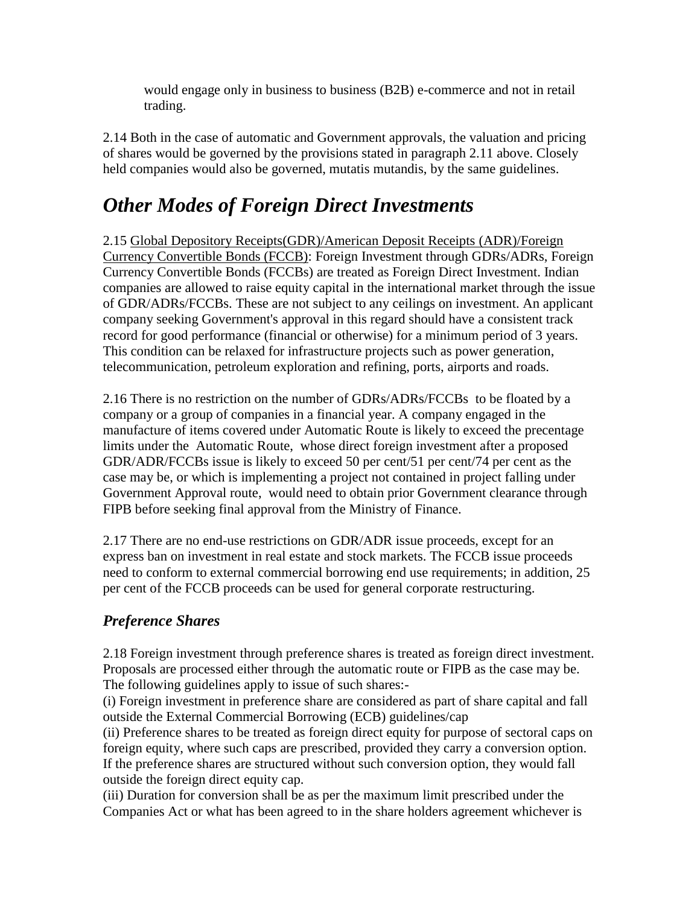would engage only in business to business (B2B) e-commerce and not in retail trading.

2.14 Both in the case of automatic and Government approvals, the valuation and pricing of shares would be governed by the provisions stated in paragraph 2.11 above. Closely held companies would also be governed, mutatis mutandis, by the same guidelines.

### *Other Modes of Foreign Direct Investments*

2.15 Global Depository Receipts(GDR)/American Deposit Receipts (ADR)/Foreign Currency Convertible Bonds (FCCB): Foreign Investment through GDRs/ADRs, Foreign Currency Convertible Bonds (FCCBs) are treated as Foreign Direct Investment. Indian companies are allowed to raise equity capital in the international market through the issue of GDR/ADRs/FCCBs. These are not subject to any ceilings on investment. An applicant company seeking Government's approval in this regard should have a consistent track record for good performance (financial or otherwise) for a minimum period of 3 years. This condition can be relaxed for infrastructure projects such as power generation, telecommunication, petroleum exploration and refining, ports, airports and roads.

2.16 There is no restriction on the number of GDRs/ADRs/FCCBs to be floated by a company or a group of companies in a financial year. A company engaged in the manufacture of items covered under Automatic Route is likely to exceed the precentage limits under the Automatic Route, whose direct foreign investment after a proposed GDR/ADR/FCCBs issue is likely to exceed 50 per cent/51 per cent/74 per cent as the case may be, or which is implementing a project not contained in project falling under Government Approval route, would need to obtain prior Government clearance through FIPB before seeking final approval from the Ministry of Finance.

2.17 There are no end-use restrictions on GDR/ADR issue proceeds, except for an express ban on investment in real estate and stock markets. The FCCB issue proceeds need to conform to external commercial borrowing end use requirements; in addition, 25 per cent of the FCCB proceeds can be used for general corporate restructuring.

#### *Preference Shares*

2.18 Foreign investment through preference shares is treated as foreign direct investment. Proposals are processed either through the automatic route or FIPB as the case may be. The following guidelines apply to issue of such shares:-

(i) Foreign investment in preference share are considered as part of share capital and fall outside the External Commercial Borrowing (ECB) guidelines/cap

(ii) Preference shares to be treated as foreign direct equity for purpose of sectoral caps on foreign equity, where such caps are prescribed, provided they carry a conversion option. If the preference shares are structured without such conversion option, they would fall outside the foreign direct equity cap.

(iii) Duration for conversion shall be as per the maximum limit prescribed under the Companies Act or what has been agreed to in the share holders agreement whichever is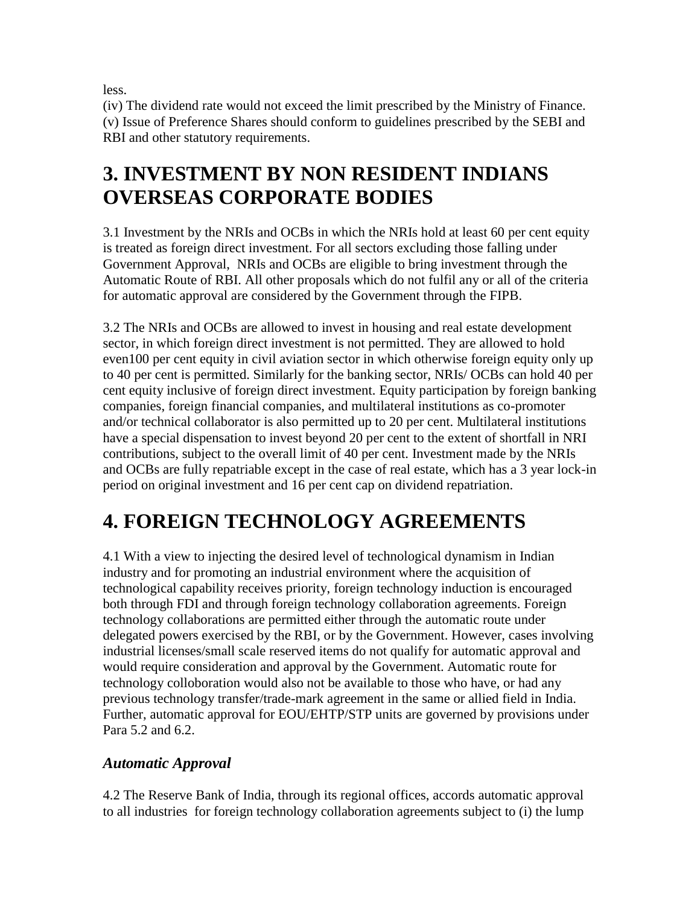less.

(iv) The dividend rate would not exceed the limit prescribed by the Ministry of Finance. (v) Issue of Preference Shares should conform to guidelines prescribed by the SEBI and RBI and other statutory requirements.

### **3. INVESTMENT BY NON RESIDENT INDIANS OVERSEAS CORPORATE BODIES**

3.1 Investment by the NRIs and OCBs in which the NRIs hold at least 60 per cent equity is treated as foreign direct investment. For all sectors excluding those falling under Government Approval, NRIs and OCBs are eligible to bring investment through the Automatic Route of RBI. All other proposals which do not fulfil any or all of the criteria for automatic approval are considered by the Government through the FIPB.

3.2 The NRIs and OCBs are allowed to invest in housing and real estate development sector, in which foreign direct investment is not permitted. They are allowed to hold even100 per cent equity in civil aviation sector in which otherwise foreign equity only up to 40 per cent is permitted. Similarly for the banking sector, NRIs/ OCBs can hold 40 per cent equity inclusive of foreign direct investment. Equity participation by foreign banking companies, foreign financial companies, and multilateral institutions as co-promoter and/or technical collaborator is also permitted up to 20 per cent. Multilateral institutions have a special dispensation to invest beyond 20 per cent to the extent of shortfall in NRI contributions, subject to the overall limit of 40 per cent. Investment made by the NRIs and OCBs are fully repatriable except in the case of real estate, which has a 3 year lock-in period on original investment and 16 per cent cap on dividend repatriation.

### **4. FOREIGN TECHNOLOGY AGREEMENTS**

4.1 With a view to injecting the desired level of technological dynamism in Indian industry and for promoting an industrial environment where the acquisition of technological capability receives priority, foreign technology induction is encouraged both through FDI and through foreign technology collaboration agreements. Foreign technology collaborations are permitted either through the automatic route under delegated powers exercised by the RBI, or by the Government. However, cases involving industrial licenses/small scale reserved items do not qualify for automatic approval and would require consideration and approval by the Government. Automatic route for technology colloboration would also not be available to those who have, or had any previous technology transfer/trade-mark agreement in the same or allied field in India. Further, automatic approval for EOU/EHTP/STP units are governed by provisions under Para 5.2 and 6.2.

#### *Automatic Approval*

4.2 The Reserve Bank of India, through its regional offices, accords automatic approval to all industries for foreign technology collaboration agreements subject to (i) the lump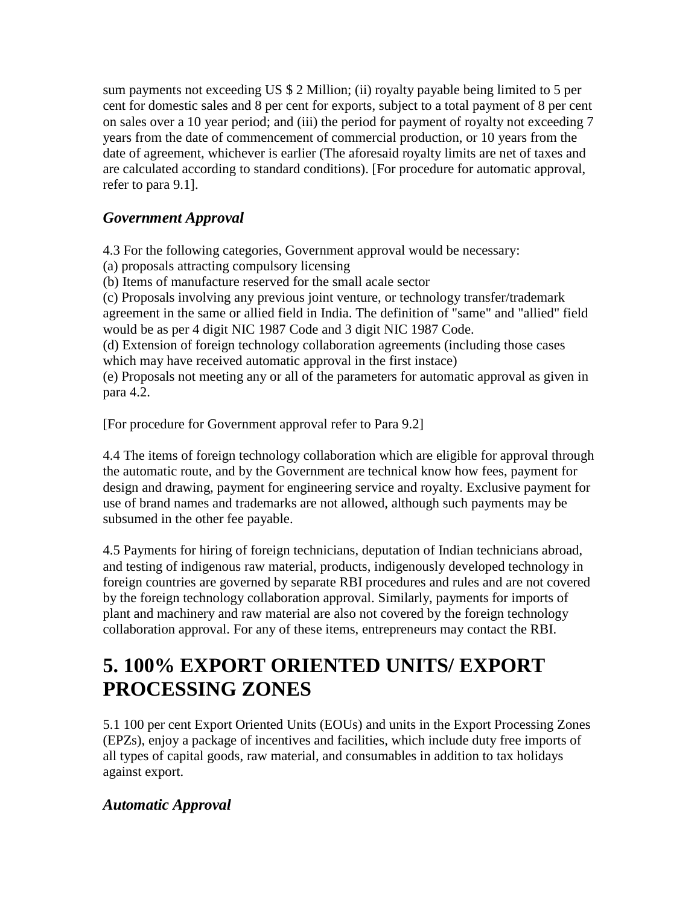sum payments not exceeding US \$ 2 Million; (ii) royalty payable being limited to 5 per cent for domestic sales and 8 per cent for exports, subject to a total payment of 8 per cent on sales over a 10 year period; and (iii) the period for payment of royalty not exceeding 7 years from the date of commencement of commercial production, or 10 years from the date of agreement, whichever is earlier (The aforesaid royalty limits are net of taxes and are calculated according to standard conditions). [For procedure for automatic approval, refer to para 9.1].

#### *Government Approval*

4.3 For the following categories, Government approval would be necessary:

- (a) proposals attracting compulsory licensing
- (b) Items of manufacture reserved for the small acale sector

(c) Proposals involving any previous joint venture, or technology transfer/trademark agreement in the same or allied field in India. The definition of "same" and "allied" field would be as per 4 digit NIC 1987 Code and 3 digit NIC 1987 Code.

(d) Extension of foreign technology collaboration agreements (including those cases which may have received automatic approval in the first instace)

(e) Proposals not meeting any or all of the parameters for automatic approval as given in para 4.2.

[For procedure for Government approval refer to Para 9.2]

4.4 The items of foreign technology collaboration which are eligible for approval through the automatic route, and by the Government are technical know how fees, payment for design and drawing, payment for engineering service and royalty. Exclusive payment for use of brand names and trademarks are not allowed, although such payments may be subsumed in the other fee payable.

4.5 Payments for hiring of foreign technicians, deputation of Indian technicians abroad, and testing of indigenous raw material, products, indigenously developed technology in foreign countries are governed by separate RBI procedures and rules and are not covered by the foreign technology collaboration approval. Similarly, payments for imports of plant and machinery and raw material are also not covered by the foreign technology collaboration approval. For any of these items, entrepreneurs may contact the RBI.

### **5. 100% EXPORT ORIENTED UNITS/ EXPORT PROCESSING ZONES**

5.1 100 per cent Export Oriented Units (EOUs) and units in the Export Processing Zones (EPZs), enjoy a package of incentives and facilities, which include duty free imports of all types of capital goods, raw material, and consumables in addition to tax holidays against export.

#### *Automatic Approval*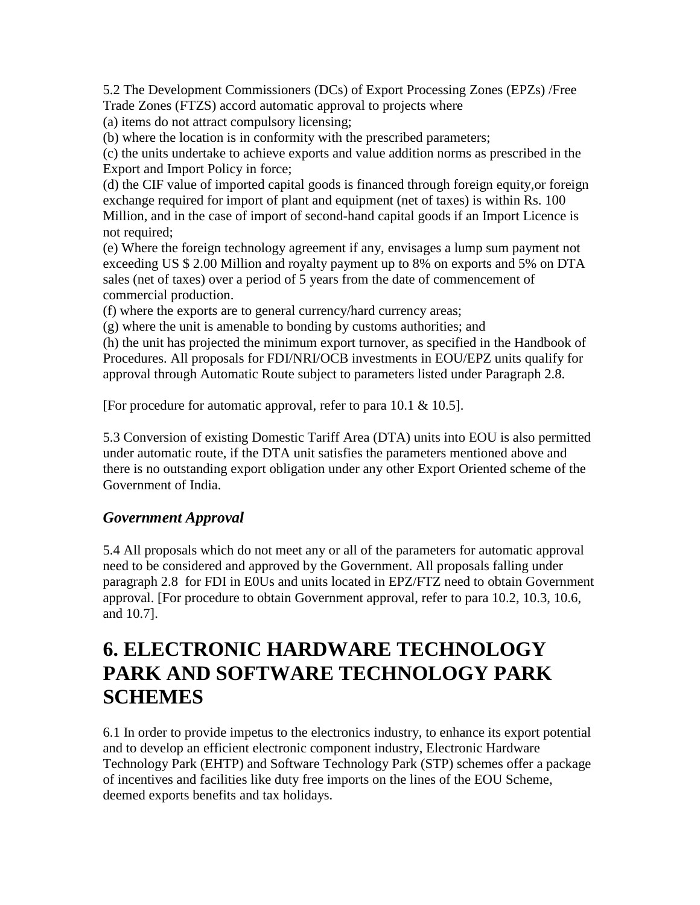5.2 The Development Commissioners (DCs) of Export Processing Zones (EPZs) /Free Trade Zones (FTZS) accord automatic approval to projects where

(a) items do not attract compulsory licensing;

(b) where the location is in conformity with the prescribed parameters;

(c) the units undertake to achieve exports and value addition norms as prescribed in the Export and Import Policy in force;

(d) the CIF value of imported capital goods is financed through foreign equity,or foreign exchange required for import of plant and equipment (net of taxes) is within Rs. 100 Million, and in the case of import of second-hand capital goods if an Import Licence is not required;

(e) Where the foreign technology agreement if any, envisages a lump sum payment not exceeding US \$ 2.00 Million and royalty payment up to 8% on exports and 5% on DTA sales (net of taxes) over a period of 5 years from the date of commencement of commercial production.

(f) where the exports are to general currency/hard currency areas;

(g) where the unit is amenable to bonding by customs authorities; and

(h) the unit has projected the minimum export turnover, as specified in the Handbook of Procedures. All proposals for FDI/NRI/OCB investments in EOU/EPZ units qualify for approval through Automatic Route subject to parameters listed under Paragraph 2.8.

[For procedure for automatic approval, refer to para 10.1 & 10.5].

5.3 Conversion of existing Domestic Tariff Area (DTA) units into EOU is also permitted under automatic route, if the DTA unit satisfies the parameters mentioned above and there is no outstanding export obligation under any other Export Oriented scheme of the Government of India.

#### *Government Approval*

5.4 All proposals which do not meet any or all of the parameters for automatic approval need to be considered and approved by the Government. All proposals falling under paragraph 2.8 for FDI in E0Us and units located in EPZ/FTZ need to obtain Government approval. [For procedure to obtain Government approval, refer to para 10.2, 10.3, 10.6, and 10.7].

### **6. ELECTRONIC HARDWARE TECHNOLOGY PARK AND SOFTWARE TECHNOLOGY PARK SCHEMES**

6.1 In order to provide impetus to the electronics industry, to enhance its export potential and to develop an efficient electronic component industry, Electronic Hardware Technology Park (EHTP) and Software Technology Park (STP) schemes offer a package of incentives and facilities like duty free imports on the lines of the EOU Scheme, deemed exports benefits and tax holidays.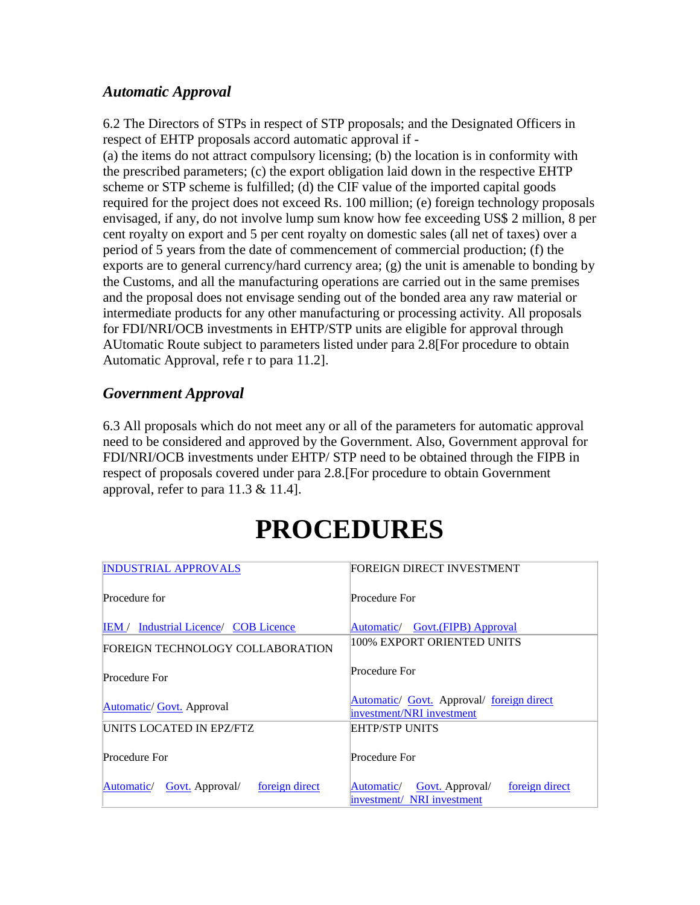#### *Automatic Approval*

6.2 The Directors of STPs in respect of STP proposals; and the Designated Officers in respect of EHTP proposals accord automatic approval if -

(a) the items do not attract compulsory licensing; (b) the location is in conformity with the prescribed parameters; (c) the export obligation laid down in the respective EHTP scheme or STP scheme is fulfilled; (d) the CIF value of the imported capital goods required for the project does not exceed Rs. 100 million; (e) foreign technology proposals envisaged, if any, do not involve lump sum know how fee exceeding US\$ 2 million, 8 per cent royalty on export and 5 per cent royalty on domestic sales (all net of taxes) over a period of 5 years from the date of commencement of commercial production; (f) the exports are to general currency/hard currency area; (g) the unit is amenable to bonding by the Customs, and all the manufacturing operations are carried out in the same premises and the proposal does not envisage sending out of the bonded area any raw material or intermediate products for any other manufacturing or processing activity. All proposals for FDI/NRI/OCB investments in EHTP/STP units are eligible for approval through AUtomatic Route subject to parameters listed under para 2.8[For procedure to obtain Automatic Approval, refe r to para 11.2].

#### *Government Approval*

6.3 All proposals which do not meet any or all of the parameters for automatic approval need to be considered and approved by the Government. Also, Government approval for FDI/NRI/OCB investments under EHTP/ STP need to be obtained through the FIPB in respect of proposals covered under para 2.8.[For procedure to obtain Government approval, refer to para 11.3 & 11.4].

#### [INDUSTRIAL APPROVALS](http://indmin.nic.in/vsindmin/policy/policy/policy.htm#APPROVAL PROCEDURES) Procedure for [IEM /](http://indmin.nic.in/vsindmin/policy/policy/policy.htm#IEM) [Industrial Licence/](http://indmin.nic.in/vsindmin/policy/policy/policy.htm#Industrial Licence) [COB Licence](http://indmin.nic.in/vsindmin/policy/policy/policy.htm#Carry on Business (COB) Licence) FOREIGN DIRECT INVESTMENT Procedure For [Automatic/](http://indmin.nic.in/vsindmin/policy/policy/policy.htm#Procedure For Automatic Approval 8.1) [Govt.\(FIPB\) Approval](http://indmin.nic.in/vsindmin/policy/policy/policy.htm#Procedure For Government Approval 8.2)  FOREIGN TECHNOLOGY COLLABORATION Procedure For [Automatic/](http://indmin.nic.in/vsindmin/policy/policy/policy.htm#Procedure for Automatic Approval 9.1) [Govt.](http://indmin.nic.in/vsindmin/policy/policy/policy.htm#Procedure for Government Approval 9.2) Approval 100% EXPORT ORIENTED UNITS Procedure For [Automatic/](http://indmin.nic.in/vsindmin/policy/policy/policy.htm#Procedure for Automatic Approval for E0Us 10.2) [Govt.](http://indmin.nic.in/vsindmin/policy/policy/policy.htm#Procedure for Government Approval for E0Us 10.3) Approval/ foreign direct [investment/NRI investment](http://indmin.nic.in/vsindmin/policy/policy/policy.htm#Procedure for foreign direct investment/NRI investment 10.4) UNITS LOCATED IN EPZ/FTZ Procedure For [Automatic/](http://indmin.nic.in/vsindmin/policy/policy/policy.htm#Procedure for Automatic Approval for units located in EPZ/FTZ  10.6) [Govt.](http://indmin.nic.in/vsindmin/policy/policy/policy.htm#Procedure for Government Approval for units located in EPZ/FTZ  10.7) Approval/ foreign direct EHTP/STP UNITS Procedure For [Automatic/](http://indmin.nic.in/vsindmin/policy/policy/policy.htm#11.2 Procedure for Automatic Approval for EHTP/STP) [Govt. A](http://indmin.nic.in/vsindmin/policy/policy/policy.htm#12. PROCEDURE FOR GOVERNMENT APPROVAL FOR EHTP/STP)pproval/ foreign direct investment/ [NRI investment](http://indmin.nic.in/vsindmin/policy/policy/policy.htm#13. PROCEDURE FOR FOREIGN DIRECT INVESTMENT / NRI INVESTMENT)

# **PROCEDURES**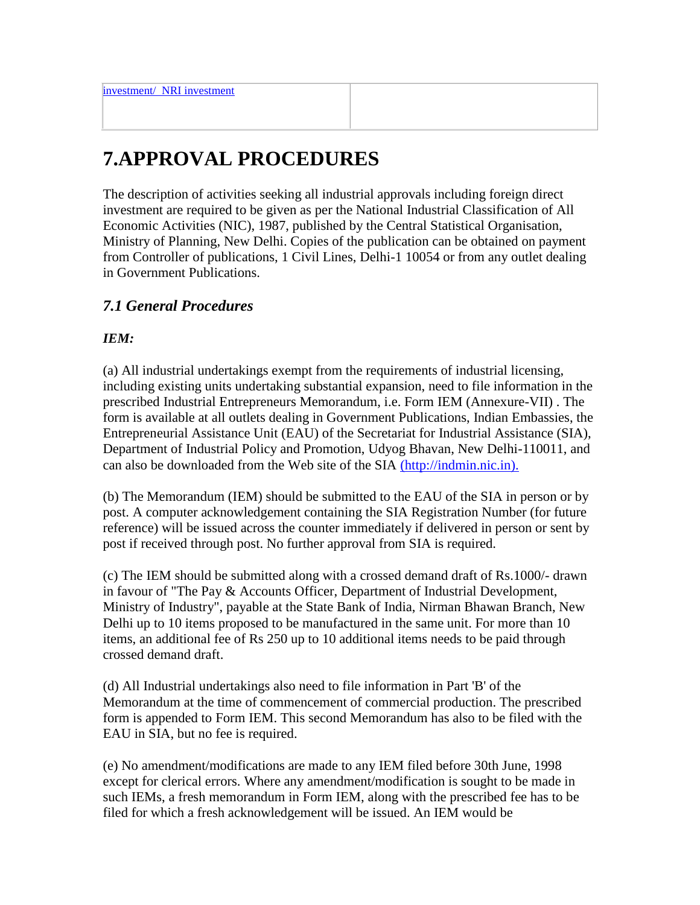### **7.APPROVAL PROCEDURES**

The description of activities seeking all industrial approvals including foreign direct investment are required to be given as per the National Industrial Classification of All Economic Activities (NIC), 1987, published by the Central Statistical Organisation, Ministry of Planning, New Delhi. Copies of the publication can be obtained on payment from Controller of publications, 1 Civil Lines, Delhi-1 10054 or from any outlet dealing in Government Publications.

#### *7.1 General Procedures*

#### *IEM:*

(a) All industrial undertakings exempt from the requirements of industrial licensing, including existing units undertaking substantial expansion, need to file information in the prescribed Industrial Entrepreneurs Memorandum, i.e. Form IEM (Annexure-VII) . The form is available at all outlets dealing in Government Publications, Indian Embassies, the Entrepreneurial Assistance Unit (EAU) of the Secretariat for Industrial Assistance (SIA), Department of Industrial Policy and Promotion, Udyog Bhavan, New Delhi-110011, and can also be downloaded from the Web site of the SIA [\(http://indmin.nic.in\).](http://www.nic.in/indmin)

(b) The Memorandum (IEM) should be submitted to the EAU of the SIA in person or by post. A computer acknowledgement containing the SIA Registration Number (for future reference) will be issued across the counter immediately if delivered in person or sent by post if received through post. No further approval from SIA is required.

(c) The IEM should be submitted along with a crossed demand draft of Rs.1000/- drawn in favour of "The Pay & Accounts Officer, Department of Industrial Development, Ministry of Industry", payable at the State Bank of India, Nirman Bhawan Branch, New Delhi up to 10 items proposed to be manufactured in the same unit. For more than 10 items, an additional fee of Rs 250 up to 10 additional items needs to be paid through crossed demand draft.

(d) All Industrial undertakings also need to file information in Part 'B' of the Memorandum at the time of commencement of commercial production. The prescribed form is appended to Form IEM. This second Memorandum has also to be filed with the EAU in SIA, but no fee is required.

(e) No amendment/modifications are made to any IEM filed before 30th June, 1998 except for clerical errors. Where any amendment/modification is sought to be made in such IEMs, a fresh memorandum in Form IEM, along with the prescribed fee has to be filed for which a fresh acknowledgement will be issued. An IEM would be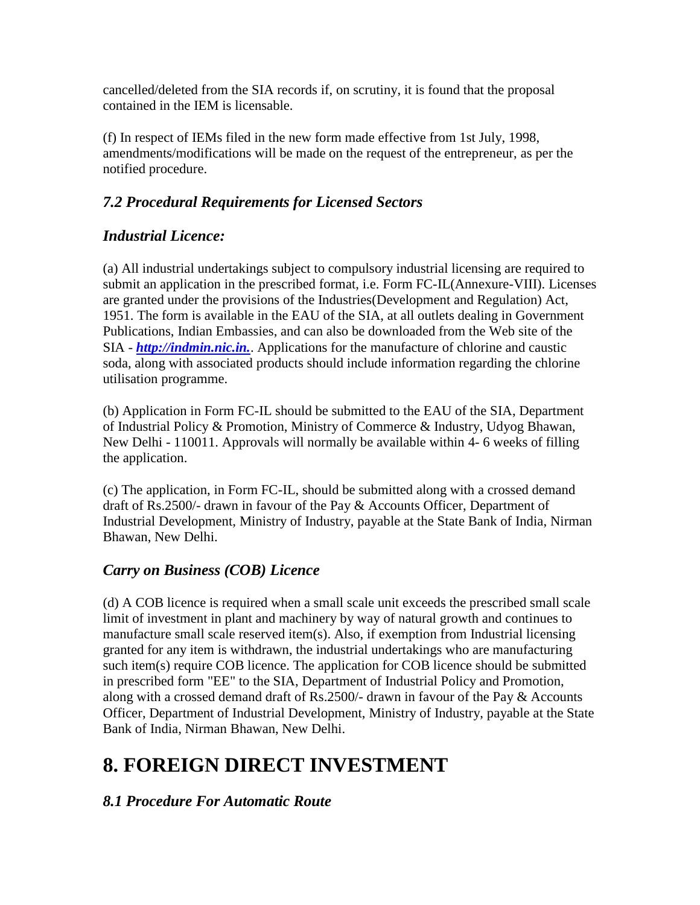cancelled/deleted from the SIA records if, on scrutiny, it is found that the proposal contained in the IEM is licensable.

(f) In respect of IEMs filed in the new form made effective from 1st July, 1998, amendments/modifications will be made on the request of the entrepreneur, as per the notified procedure.

#### *7.2 Procedural Requirements for Licensed Sectors*

#### *Industrial Licence:*

(a) All industrial undertakings subject to compulsory industrial licensing are required to submit an application in the prescribed format, i.e. Form FC-IL(Annexure-VIII). Licenses are granted under the provisions of the Industries(Development and Regulation) Act, 1951. The form is available in the EAU of the SIA, at all outlets dealing in Government Publications, Indian Embassies, and can also be downloaded from the Web site of the SIA - *[http://indmin.nic.in.](http://www.nic.in/indmin)*. Applications for the manufacture of chlorine and caustic soda, along with associated products should include information regarding the chlorine utilisation programme.

(b) Application in Form FC-IL should be submitted to the EAU of the SIA, Department of Industrial Policy & Promotion, Ministry of Commerce & Industry, Udyog Bhawan, New Delhi - 110011. Approvals will normally be available within 4- 6 weeks of filling the application.

(c) The application, in Form FC-IL, should be submitted along with a crossed demand draft of Rs.2500/- drawn in favour of the Pay & Accounts Officer, Department of Industrial Development, Ministry of Industry, payable at the State Bank of India, Nirman Bhawan, New Delhi.

#### *Carry on Business (COB) Licence*

(d) A COB licence is required when a small scale unit exceeds the prescribed small scale limit of investment in plant and machinery by way of natural growth and continues to manufacture small scale reserved item(s). Also, if exemption from Industrial licensing granted for any item is withdrawn, the industrial undertakings who are manufacturing such item(s) require COB licence. The application for COB licence should be submitted in prescribed form "EE" to the SIA, Department of Industrial Policy and Promotion, along with a crossed demand draft of Rs.2500/- drawn in favour of the Pay & Accounts Officer, Department of Industrial Development, Ministry of Industry, payable at the State Bank of India, Nirman Bhawan, New Delhi.

### **8. FOREIGN DIRECT INVESTMENT**

#### *8.1 Procedure For Automatic Route*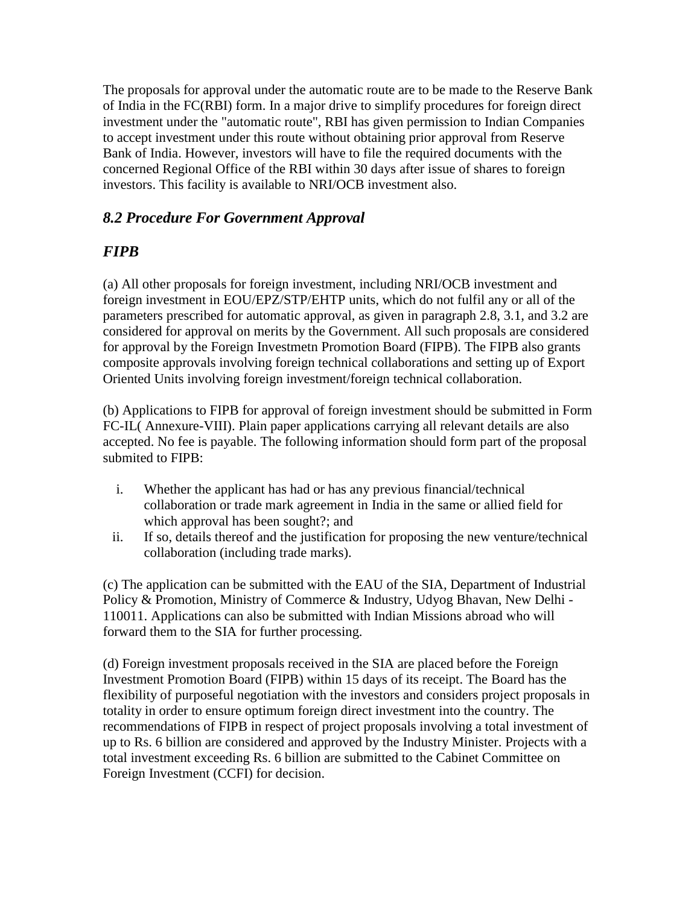The proposals for approval under the automatic route are to be made to the Reserve Bank of India in the FC(RBI) form. In a major drive to simplify procedures for foreign direct investment under the "automatic route", RBI has given permission to Indian Companies to accept investment under this route without obtaining prior approval from Reserve Bank of India. However, investors will have to file the required documents with the concerned Regional Office of the RBI within 30 days after issue of shares to foreign investors. This facility is available to NRI/OCB investment also.

#### *8.2 Procedure For Government Approval*

#### *FIPB*

(a) All other proposals for foreign investment, including NRI/OCB investment and foreign investment in EOU/EPZ/STP/EHTP units, which do not fulfil any or all of the parameters prescribed for automatic approval, as given in paragraph 2.8, 3.1, and 3.2 are considered for approval on merits by the Government. All such proposals are considered for approval by the Foreign Investmetn Promotion Board (FIPB). The FIPB also grants composite approvals involving foreign technical collaborations and setting up of Export Oriented Units involving foreign investment/foreign technical collaboration.

(b) Applications to FIPB for approval of foreign investment should be submitted in Form FC-IL( Annexure-VIII). Plain paper applications carrying all relevant details are also accepted. No fee is payable. The following information should form part of the proposal submited to FIPB:

- i. Whether the applicant has had or has any previous financial/technical collaboration or trade mark agreement in India in the same or allied field for which approval has been sought?; and
- ii. If so, details thereof and the justification for proposing the new venture/technical collaboration (including trade marks).

(c) The application can be submitted with the EAU of the SIA, Department of Industrial Policy & Promotion, Ministry of Commerce & Industry, Udyog Bhavan, New Delhi - 110011. Applications can also be submitted with Indian Missions abroad who will forward them to the SIA for further processing.

(d) Foreign investment proposals received in the SIA are placed before the Foreign Investment Promotion Board (FIPB) within 15 days of its receipt. The Board has the flexibility of purposeful negotiation with the investors and considers project proposals in totality in order to ensure optimum foreign direct investment into the country. The recommendations of FIPB in respect of project proposals involving a total investment of up to Rs. 6 billion are considered and approved by the Industry Minister. Projects with a total investment exceeding Rs. 6 billion are submitted to the Cabinet Committee on Foreign Investment (CCFI) for decision.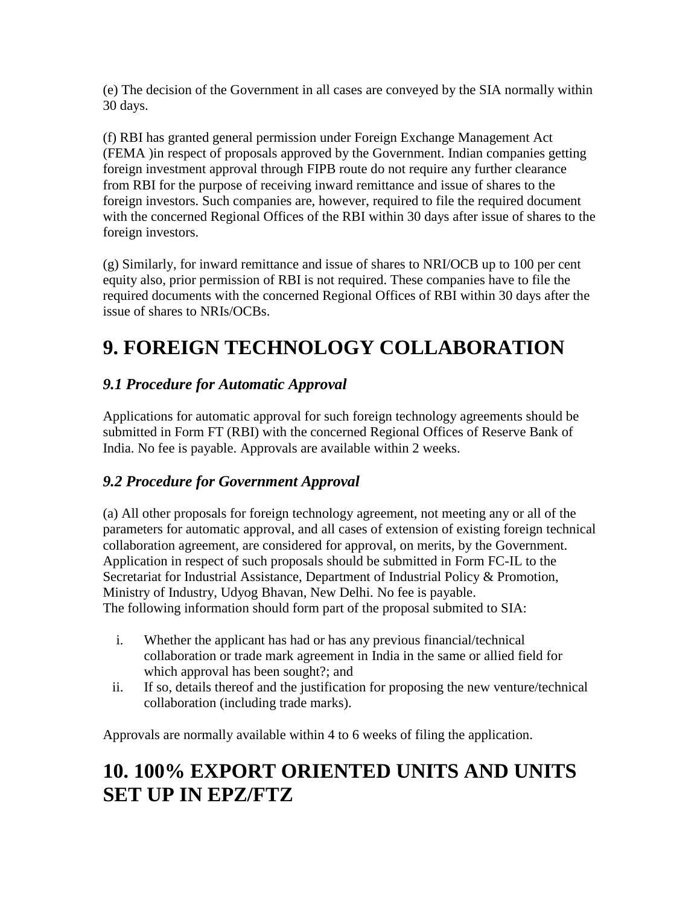(e) The decision of the Government in all cases are conveyed by the SIA normally within 30 days.

(f) RBI has granted general permission under Foreign Exchange Management Act (FEMA )in respect of proposals approved by the Government. Indian companies getting foreign investment approval through FIPB route do not require any further clearance from RBI for the purpose of receiving inward remittance and issue of shares to the foreign investors. Such companies are, however, required to file the required document with the concerned Regional Offices of the RBI within 30 days after issue of shares to the foreign investors.

(g) Similarly, for inward remittance and issue of shares to NRI/OCB up to 100 per cent equity also, prior permission of RBI is not required. These companies have to file the required documents with the concerned Regional Offices of RBI within 30 days after the issue of shares to NRIs/OCBs.

### **9. FOREIGN TECHNOLOGY COLLABORATION**

#### *9.1 Procedure for Automatic Approval*

Applications for automatic approval for such foreign technology agreements should be submitted in Form FT (RBI) with the concerned Regional Offices of Reserve Bank of India. No fee is payable. Approvals are available within 2 weeks.

#### *9.2 Procedure for Government Approval*

(a) All other proposals for foreign technology agreement, not meeting any or all of the parameters for automatic approval, and all cases of extension of existing foreign technical collaboration agreement, are considered for approval, on merits, by the Government. Application in respect of such proposals should be submitted in Form FC-IL to the Secretariat for Industrial Assistance, Department of Industrial Policy & Promotion, Ministry of Industry, Udyog Bhavan, New Delhi. No fee is payable. The following information should form part of the proposal submited to SIA:

- i. Whether the applicant has had or has any previous financial/technical collaboration or trade mark agreement in India in the same or allied field for which approval has been sought?; and
- ii. If so, details thereof and the justification for proposing the new venture/technical collaboration (including trade marks).

Approvals are normally available within 4 to 6 weeks of filing the application.

### **10. 100% EXPORT ORIENTED UNITS AND UNITS SET UP IN EPZ/FTZ**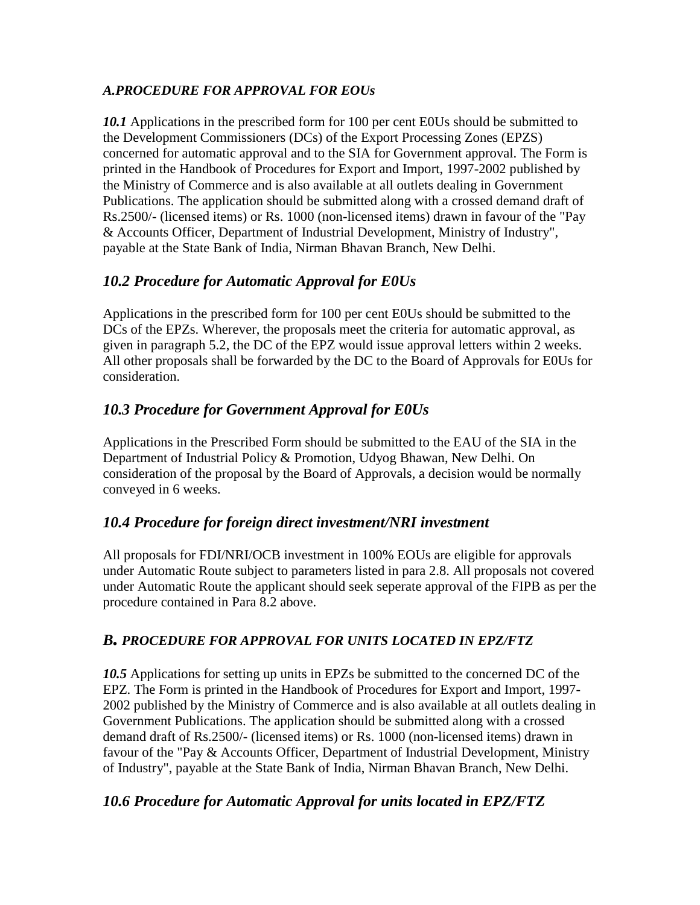#### *A.PROCEDURE FOR APPROVAL FOR EOUs*

*10.1* Applications in the prescribed form for 100 per cent E0Us should be submitted to the Development Commissioners (DCs) of the Export Processing Zones (EPZS) concerned for automatic approval and to the SIA for Government approval. The Form is printed in the Handbook of Procedures for Export and Import, 1997-2002 published by the Ministry of Commerce and is also available at all outlets dealing in Government Publications. The application should be submitted along with a crossed demand draft of Rs.2500/- (licensed items) or Rs. 1000 (non-licensed items) drawn in favour of the "Pay & Accounts Officer, Department of Industrial Development, Ministry of Industry", payable at the State Bank of India, Nirman Bhavan Branch, New Delhi.

#### *10.2 Procedure for Automatic Approval for E0Us*

Applications in the prescribed form for 100 per cent E0Us should be submitted to the DCs of the EPZs. Wherever, the proposals meet the criteria for automatic approval, as given in paragraph 5.2, the DC of the EPZ would issue approval letters within 2 weeks. All other proposals shall be forwarded by the DC to the Board of Approvals for E0Us for consideration.

#### *10.3 Procedure for Government Approval for E0Us*

Applications in the Prescribed Form should be submitted to the EAU of the SIA in the Department of Industrial Policy & Promotion, Udyog Bhawan, New Delhi. On consideration of the proposal by the Board of Approvals, a decision would be normally conveyed in 6 weeks.

#### *10.4 Procedure for foreign direct investment/NRI investment*

All proposals for FDI/NRI/OCB investment in 100% EOUs are eligible for approvals under Automatic Route subject to parameters listed in para 2.8. All proposals not covered under Automatic Route the applicant should seek seperate approval of the FIPB as per the procedure contained in Para 8.2 above.

#### *B. PROCEDURE FOR APPROVAL FOR UNITS LOCATED IN EPZ/FTZ*

*10.5* Applications for setting up units in EPZs be submitted to the concerned DC of the EPZ. The Form is printed in the Handbook of Procedures for Export and Import, 1997- 2002 published by the Ministry of Commerce and is also available at all outlets dealing in Government Publications. The application should be submitted along with a crossed demand draft of Rs.2500/- (licensed items) or Rs. 1000 (non-licensed items) drawn in favour of the "Pay & Accounts Officer, Department of Industrial Development, Ministry of Industry", payable at the State Bank of India, Nirman Bhavan Branch, New Delhi.

#### *10.6 Procedure for Automatic Approval for units located in EPZ/FTZ*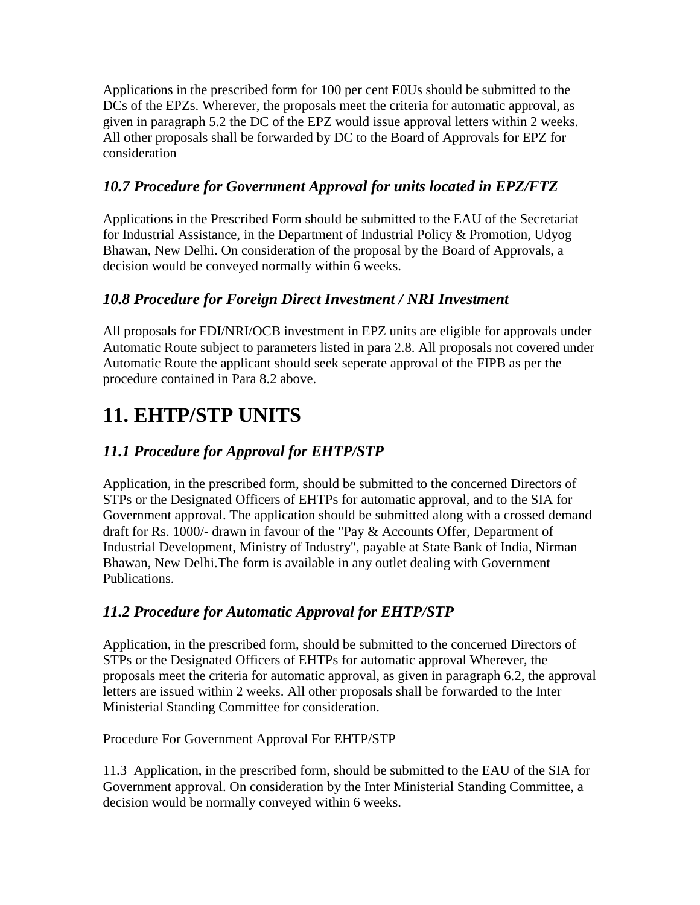Applications in the prescribed form for 100 per cent E0Us should be submitted to the DCs of the EPZs. Wherever, the proposals meet the criteria for automatic approval, as given in paragraph 5.2 the DC of the EPZ would issue approval letters within 2 weeks. All other proposals shall be forwarded by DC to the Board of Approvals for EPZ for consideration

#### *10.7 Procedure for Government Approval for units located in EPZ/FTZ*

Applications in the Prescribed Form should be submitted to the EAU of the Secretariat for Industrial Assistance, in the Department of Industrial Policy & Promotion, Udyog Bhawan, New Delhi. On consideration of the proposal by the Board of Approvals, a decision would be conveyed normally within 6 weeks.

#### *10.8 Procedure for Foreign Direct Investment / NRI Investment*

All proposals for FDI/NRI/OCB investment in EPZ units are eligible for approvals under Automatic Route subject to parameters listed in para 2.8. All proposals not covered under Automatic Route the applicant should seek seperate approval of the FIPB as per the procedure contained in Para 8.2 above.

### **11. EHTP/STP UNITS**

#### *11.1 Procedure for Approval for EHTP/STP*

Application, in the prescribed form, should be submitted to the concerned Directors of STPs or the Designated Officers of EHTPs for automatic approval, and to the SIA for Government approval. The application should be submitted along with a crossed demand draft for Rs. 1000/- drawn in favour of the "Pay & Accounts Offer, Department of Industrial Development, Ministry of Industry", payable at State Bank of India, Nirman Bhawan, New Delhi.The form is available in any outlet dealing with Government Publications.

#### *11.2 Procedure for Automatic Approval for EHTP/STP*

Application, in the prescribed form, should be submitted to the concerned Directors of STPs or the Designated Officers of EHTPs for automatic approval Wherever, the proposals meet the criteria for automatic approval, as given in paragraph 6.2, the approval letters are issued within 2 weeks. All other proposals shall be forwarded to the Inter Ministerial Standing Committee for consideration.

Procedure For Government Approval For EHTP/STP

11.3 Application, in the prescribed form, should be submitted to the EAU of the SIA for Government approval. On consideration by the Inter Ministerial Standing Committee, a decision would be normally conveyed within 6 weeks.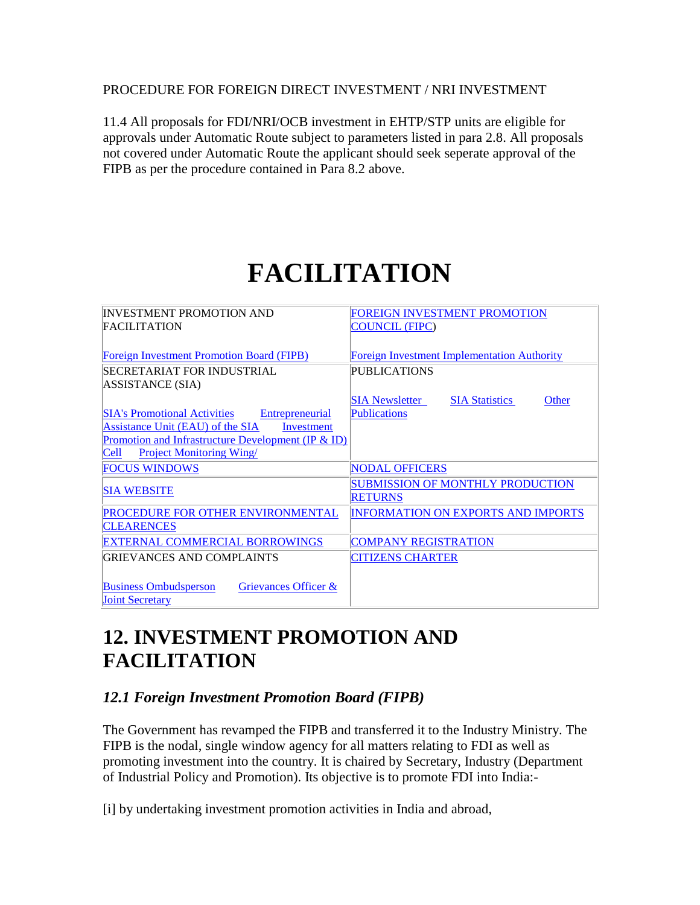#### PROCEDURE FOR FOREIGN DIRECT INVESTMENT / NRI INVESTMENT

11.4 All proposals for FDI/NRI/OCB investment in EHTP/STP units are eligible for approvals under Automatic Route subject to parameters listed in para 2.8. All proposals not covered under Automatic Route the applicant should seek seperate approval of the FIPB as per the procedure contained in Para 8.2 above.

# **FACILITATION**

| <b>INVESTMENT PROMOTION AND</b>                        | <b>FOREIGN INVESTMENT PROMOTION</b>                     |
|--------------------------------------------------------|---------------------------------------------------------|
| <b>FACILITATION</b>                                    | COUNCIL (FIPC)                                          |
|                                                        |                                                         |
| <b>Foreign Investment Promotion Board (FIPB)</b>       | <b>Foreign Investment Implementation Authority</b>      |
| SECRETARIAT FOR INDUSTRIAL                             | PUBLICATIONS                                            |
| ASSISTANCE (SIA)                                       |                                                         |
|                                                        | <b>SIA Newsletter</b><br><b>SIA Statistics</b><br>Other |
| <b>SIA's Promotional Activities</b><br>Entrepreneurial | <b>Publications</b>                                     |
| Assistance Unit (EAU) of the SIA<br>Investment         |                                                         |
| Promotion and Infrastructure Development (IP $&$ ID)   |                                                         |
| <b>Cell</b><br><b>Project Monitoring Wing</b>          |                                                         |
| <b>FOCUS WINDOWS</b>                                   | <b>NODAL OFFICERS</b>                                   |
| <b>SIA WEBSITE</b>                                     | <b>SUBMISSION OF MONTHLY PRODUCTION</b>                 |
|                                                        | <b>RETURNS</b>                                          |
| PROCEDURE FOR OTHER ENVIRONMENTAL                      | <b>INFORMATION ON EXPORTS AND IMPORTS</b>               |
| <b>CLEARENCES</b>                                      |                                                         |
| EXTERNAL COMMERCIAL BORROWINGS                         | <b>COMPANY REGISTRATION</b>                             |
| GRIEVANCES AND COMPLAINTS                              | <b>CITIZENS CHARTER</b>                                 |
|                                                        |                                                         |
| <b>Business Ombudsperson</b><br>Grievances Officer &   |                                                         |
| <b>Joint Secretary</b>                                 |                                                         |

### **12. INVESTMENT PROMOTION AND FACILITATION**

#### *12.1 Foreign Investment Promotion Board (FIPB)*

The Government has revamped the FIPB and transferred it to the Industry Ministry. The FIPB is the nodal, single window agency for all matters relating to FDI as well as promoting investment into the country. It is chaired by Secretary, Industry (Department of Industrial Policy and Promotion). Its objective is to promote FDI into India:-

[i] by undertaking investment promotion activities in India and abroad,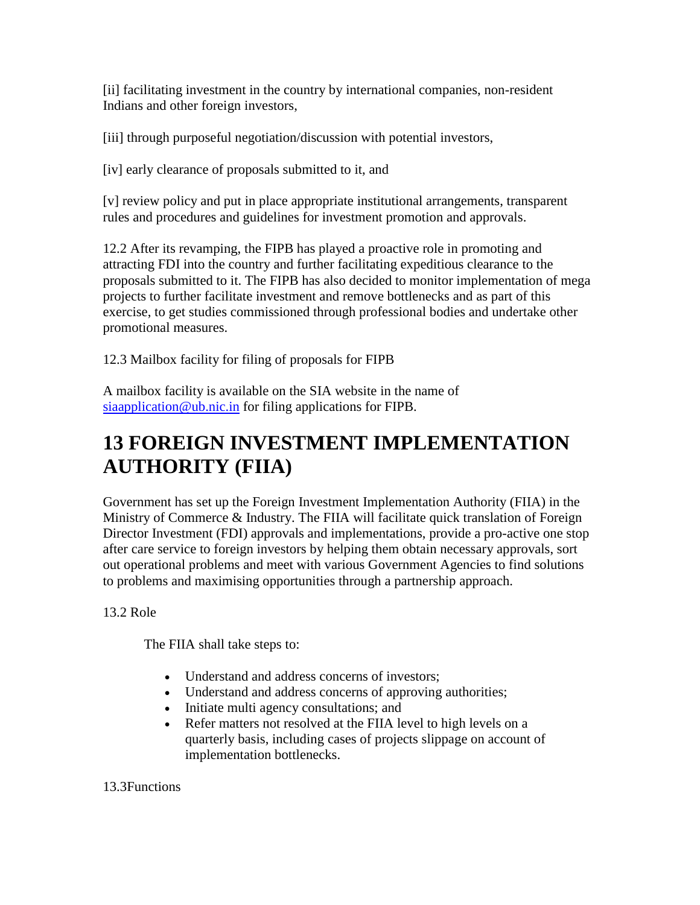[ii] facilitating investment in the country by international companies, non-resident Indians and other foreign investors,

[iii] through purposeful negotiation/discussion with potential investors,

[iv] early clearance of proposals submitted to it, and

[v] review policy and put in place appropriate institutional arrangements, transparent rules and procedures and guidelines for investment promotion and approvals.

12.2 After its revamping, the FIPB has played a proactive role in promoting and attracting FDI into the country and further facilitating expeditious clearance to the proposals submitted to it. The FIPB has also decided to monitor implementation of mega projects to further facilitate investment and remove bottlenecks and as part of this exercise, to get studies commissioned through professional bodies and undertake other promotional measures.

12.3 Mailbox facility for filing of proposals for FIPB

A mailbox facility is available on the SIA website in the name of [siaapplication@ub.nic.in](mailto:siaapplication@ub.nic.in) for filing applications for FIPB.

### **13 FOREIGN INVESTMENT IMPLEMENTATION AUTHORITY (FIIA)**

Government has set up the Foreign Investment Implementation Authority (FIIA) in the Ministry of Commerce & Industry. The FIIA will facilitate quick translation of Foreign Director Investment (FDI) approvals and implementations, provide a pro-active one stop after care service to foreign investors by helping them obtain necessary approvals, sort out operational problems and meet with various Government Agencies to find solutions to problems and maximising opportunities through a partnership approach.

13.2 Role

The FIIA shall take steps to:

- Understand and address concerns of investors;
- Understand and address concerns of approving authorities;
- Initiate multi agency consultations; and
- Refer matters not resolved at the FIIA level to high levels on a quarterly basis, including cases of projects slippage on account of implementation bottlenecks.

13.3Functions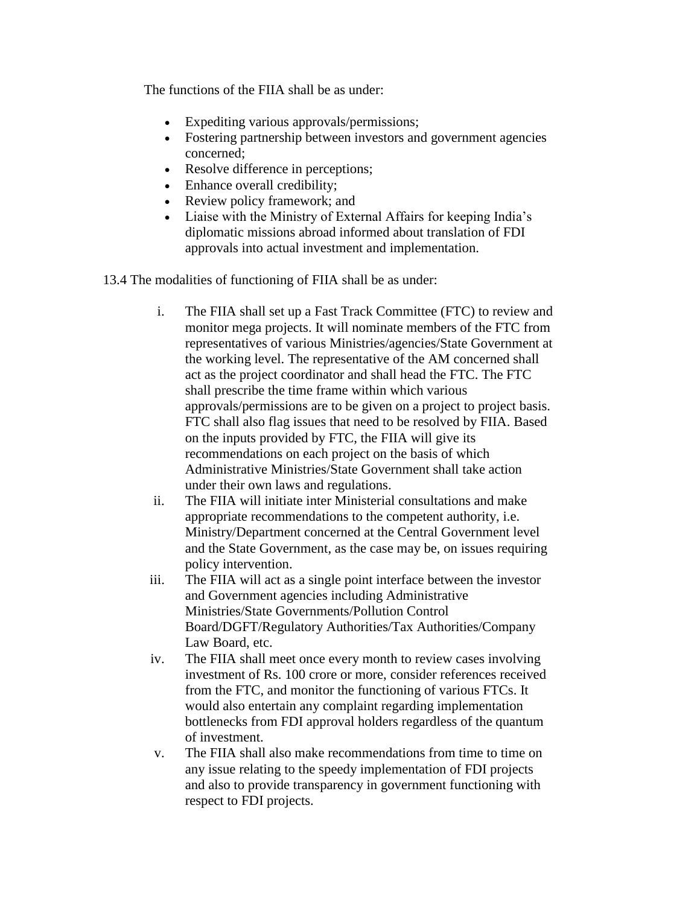The functions of the FIIA shall be as under:

- Expediting various approvals/permissions;
- Fostering partnership between investors and government agencies concerned;
- Resolve difference in perceptions;
- Enhance overall credibility;
- Review policy framework; and
- Liaise with the Ministry of External Affairs for keeping India's diplomatic missions abroad informed about translation of FDI approvals into actual investment and implementation.

13.4 The modalities of functioning of FIIA shall be as under:

- i. The FIIA shall set up a Fast Track Committee (FTC) to review and monitor mega projects. It will nominate members of the FTC from representatives of various Ministries/agencies/State Government at the working level. The representative of the AM concerned shall act as the project coordinator and shall head the FTC. The FTC shall prescribe the time frame within which various approvals/permissions are to be given on a project to project basis. FTC shall also flag issues that need to be resolved by FIIA. Based on the inputs provided by FTC, the FIIA will give its recommendations on each project on the basis of which Administrative Ministries/State Government shall take action under their own laws and regulations.
- ii. The FIIA will initiate inter Ministerial consultations and make appropriate recommendations to the competent authority, i.e. Ministry/Department concerned at the Central Government level and the State Government, as the case may be, on issues requiring policy intervention.
- iii. The FIIA will act as a single point interface between the investor and Government agencies including Administrative Ministries/State Governments/Pollution Control Board/DGFT/Regulatory Authorities/Tax Authorities/Company Law Board, etc.
- iv. The FIIA shall meet once every month to review cases involving investment of Rs. 100 crore or more, consider references received from the FTC, and monitor the functioning of various FTCs. It would also entertain any complaint regarding implementation bottlenecks from FDI approval holders regardless of the quantum of investment.
- v. The FIIA shall also make recommendations from time to time on any issue relating to the speedy implementation of FDI projects and also to provide transparency in government functioning with respect to FDI projects.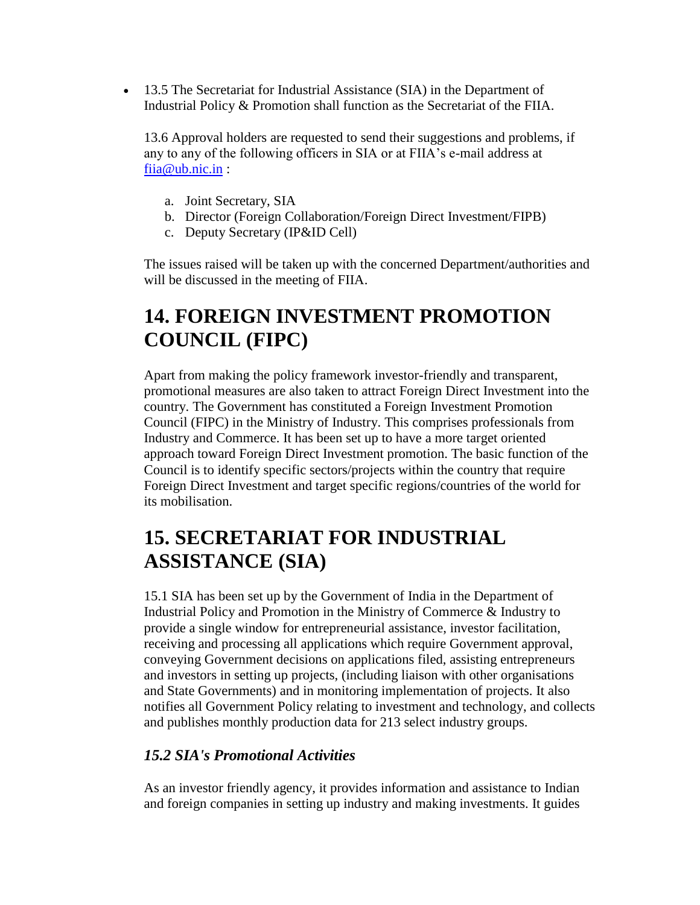• 13.5 The Secretariat for Industrial Assistance (SIA) in the Department of Industrial Policy & Promotion shall function as the Secretariat of the FIIA.

13.6 Approval holders are requested to send their suggestions and problems, if any to any of the following officers in SIA or at FIIA's e-mail address at [fiia@ub.nic.in](mailto:fiia@ub.nic.in) :

- a. Joint Secretary, SIA
- b. Director (Foreign Collaboration/Foreign Direct Investment/FIPB)
- c. Deputy Secretary (IP&ID Cell)

The issues raised will be taken up with the concerned Department/authorities and will be discussed in the meeting of FIIA.

### **14. FOREIGN INVESTMENT PROMOTION COUNCIL (FIPC)**

Apart from making the policy framework investor-friendly and transparent, promotional measures are also taken to attract Foreign Direct Investment into the country. The Government has constituted a Foreign Investment Promotion Council (FIPC) in the Ministry of Industry. This comprises professionals from Industry and Commerce. It has been set up to have a more target oriented approach toward Foreign Direct Investment promotion. The basic function of the Council is to identify specific sectors/projects within the country that require Foreign Direct Investment and target specific regions/countries of the world for its mobilisation.

### **15. SECRETARIAT FOR INDUSTRIAL ASSISTANCE (SIA)**

15.1 SIA has been set up by the Government of India in the Department of Industrial Policy and Promotion in the Ministry of Commerce & Industry to provide a single window for entrepreneurial assistance, investor facilitation, receiving and processing all applications which require Government approval, conveying Government decisions on applications filed, assisting entrepreneurs and investors in setting up projects, (including liaison with other organisations and State Governments) and in monitoring implementation of projects. It also notifies all Government Policy relating to investment and technology, and collects and publishes monthly production data for 213 select industry groups.

#### *15.2 SIA's Promotional Activities*

As an investor friendly agency, it provides information and assistance to Indian and foreign companies in setting up industry and making investments. It guides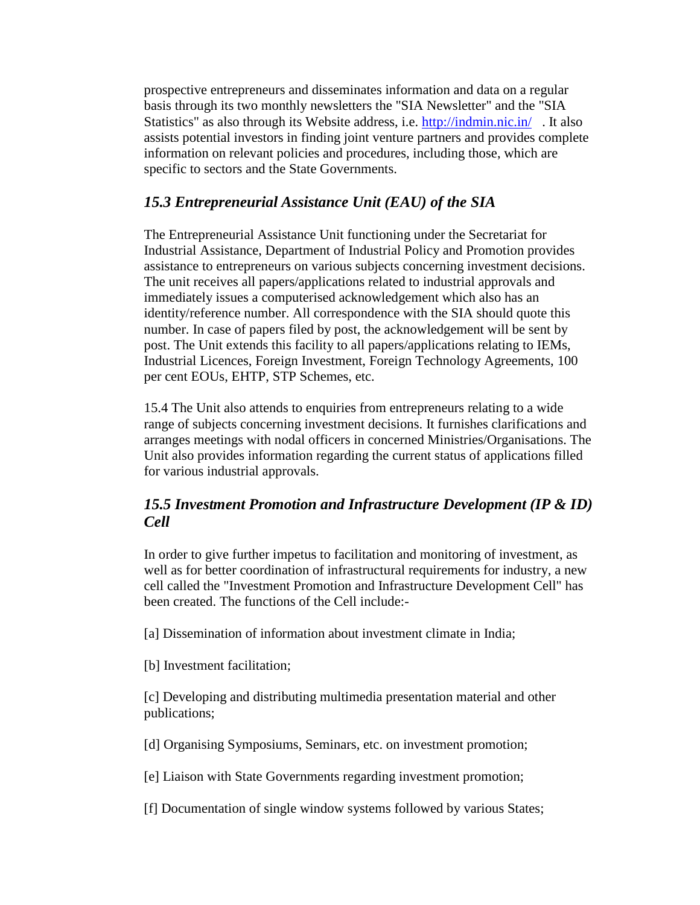prospective entrepreneurs and disseminates information and data on a regular basis through its two monthly newsletters the "SIA Newsletter" and the "SIA Statistics" as also through its Website address, i.e.<http://indmin.nic.in/> . It also assists potential investors in finding joint venture partners and provides complete information on relevant policies and procedures, including those, which are specific to sectors and the State Governments.

#### *15.3 Entrepreneurial Assistance Unit (EAU) of the SIA*

The Entrepreneurial Assistance Unit functioning under the Secretariat for Industrial Assistance, Department of Industrial Policy and Promotion provides assistance to entrepreneurs on various subjects concerning investment decisions. The unit receives all papers/applications related to industrial approvals and immediately issues a computerised acknowledgement which also has an identity/reference number. All correspondence with the SIA should quote this number. In case of papers filed by post, the acknowledgement will be sent by post. The Unit extends this facility to all papers/applications relating to IEMs, Industrial Licences, Foreign Investment, Foreign Technology Agreements, 100 per cent EOUs, EHTP, STP Schemes, etc.

15.4 The Unit also attends to enquiries from entrepreneurs relating to a wide range of subjects concerning investment decisions. It furnishes clarifications and arranges meetings with nodal officers in concerned Ministries/Organisations. The Unit also provides information regarding the current status of applications filled for various industrial approvals.

#### *15.5 Investment Promotion and Infrastructure Development (IP & ID) Cell*

In order to give further impetus to facilitation and monitoring of investment, as well as for better coordination of infrastructural requirements for industry, a new cell called the "Investment Promotion and Infrastructure Development Cell" has been created. The functions of the Cell include:-

[a] Dissemination of information about investment climate in India;

[b] Investment facilitation;

[c] Developing and distributing multimedia presentation material and other publications;

[d] Organising Symposiums, Seminars, etc. on investment promotion;

[e] Liaison with State Governments regarding investment promotion;

[f] Documentation of single window systems followed by various States;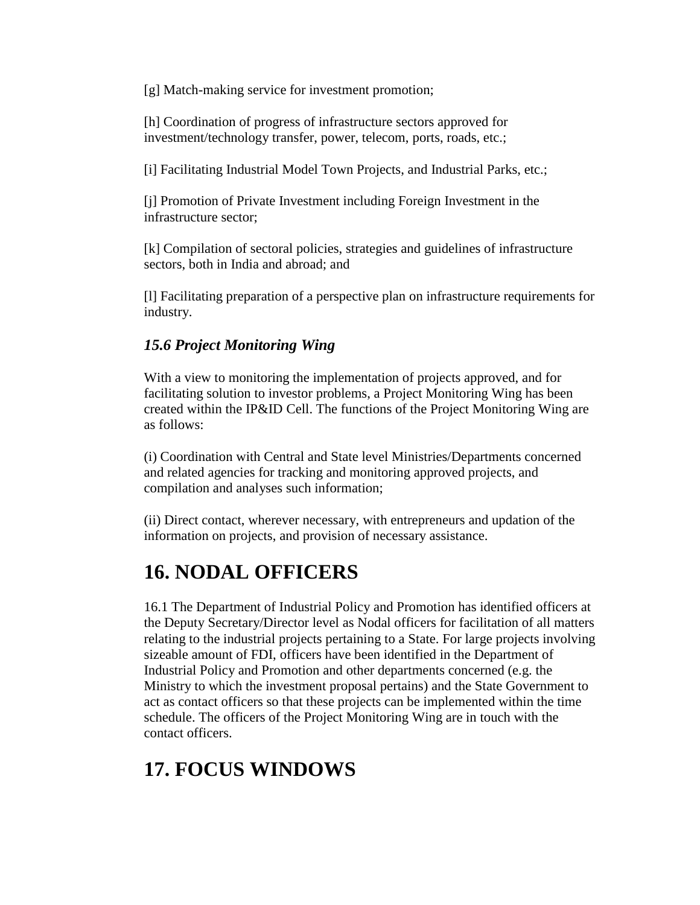[g] Match-making service for investment promotion;

[h] Coordination of progress of infrastructure sectors approved for investment/technology transfer, power, telecom, ports, roads, etc.;

[i] Facilitating Industrial Model Town Projects, and Industrial Parks, etc.;

[j] Promotion of Private Investment including Foreign Investment in the infrastructure sector;

[k] Compilation of sectoral policies, strategies and guidelines of infrastructure sectors, both in India and abroad; and

[l] Facilitating preparation of a perspective plan on infrastructure requirements for industry.

#### *15.6 Project Monitoring Wing*

With a view to monitoring the implementation of projects approved, and for facilitating solution to investor problems, a Project Monitoring Wing has been created within the IP&ID Cell. The functions of the Project Monitoring Wing are as follows:

(i) Coordination with Central and State level Ministries/Departments concerned and related agencies for tracking and monitoring approved projects, and compilation and analyses such information;

(ii) Direct contact, wherever necessary, with entrepreneurs and updation of the information on projects, and provision of necessary assistance.

### **16. NODAL OFFICERS**

16.1 The Department of Industrial Policy and Promotion has identified officers at the Deputy Secretary/Director level as Nodal officers for facilitation of all matters relating to the industrial projects pertaining to a State. For large projects involving sizeable amount of FDI, officers have been identified in the Department of Industrial Policy and Promotion and other departments concerned (e.g. the Ministry to which the investment proposal pertains) and the State Government to act as contact officers so that these projects can be implemented within the time schedule. The officers of the Project Monitoring Wing are in touch with the contact officers.

### **17. FOCUS WINDOWS**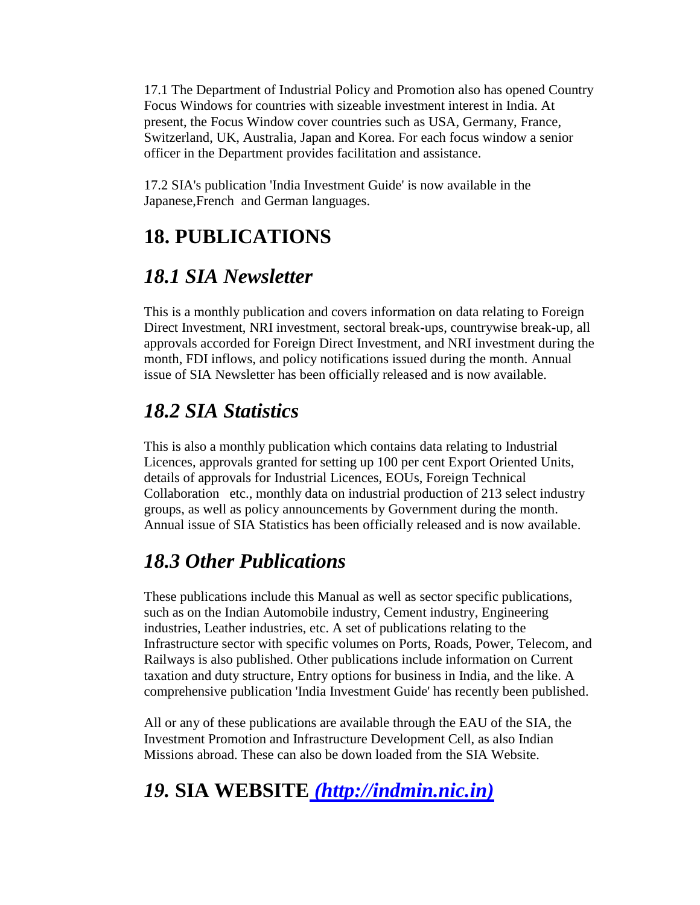17.1 The Department of Industrial Policy and Promotion also has opened Country Focus Windows for countries with sizeable investment interest in India. At present, the Focus Window cover countries such as USA, Germany, France, Switzerland, UK, Australia, Japan and Korea. For each focus window a senior officer in the Department provides facilitation and assistance.

17.2 SIA's publication 'India Investment Guide' is now available in the Japanese,French and German languages.

### **18. PUBLICATIONS**

### *18.1 SIA Newsletter*

This is a monthly publication and covers information on data relating to Foreign Direct Investment, NRI investment, sectoral break-ups, countrywise break-up, all approvals accorded for Foreign Direct Investment, and NRI investment during the month, FDI inflows, and policy notifications issued during the month. Annual issue of SIA Newsletter has been officially released and is now available.

### *18.2 SIA Statistics*

This is also a monthly publication which contains data relating to Industrial Licences, approvals granted for setting up 100 per cent Export Oriented Units, details of approvals for Industrial Licences, EOUs, Foreign Technical Collaboration etc., monthly data on industrial production of 213 select industry groups, as well as policy announcements by Government during the month. Annual issue of SIA Statistics has been officially released and is now available.

### *18.3 Other Publications*

These publications include this Manual as well as sector specific publications, such as on the Indian Automobile industry, Cement industry, Engineering industries, Leather industries, etc. A set of publications relating to the Infrastructure sector with specific volumes on Ports, Roads, Power, Telecom, and Railways is also published. Other publications include information on Current taxation and duty structure, Entry options for business in India, and the like. A comprehensive publication 'India Investment Guide' has recently been published.

All or any of these publications are available through the EAU of the SIA, the Investment Promotion and Infrastructure Development Cell, as also Indian Missions abroad. These can also be down loaded from the SIA Website.

### *19.* **SIA WEBSITE** *[\(http://indmin.nic.in\)](http://www.nic.in/indmin)*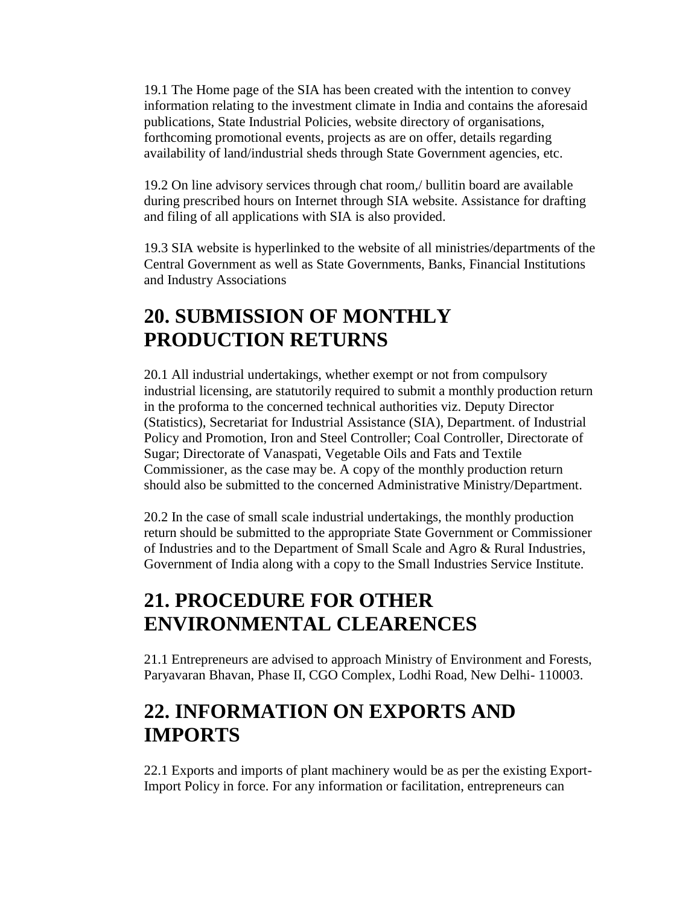19.1 The Home page of the SIA has been created with the intention to convey information relating to the investment climate in India and contains the aforesaid publications, State Industrial Policies, website directory of organisations, forthcoming promotional events, projects as are on offer, details regarding availability of land/industrial sheds through State Government agencies, etc.

19.2 On line advisory services through chat room,/ bullitin board are available during prescribed hours on Internet through SIA website. Assistance for drafting and filing of all applications with SIA is also provided.

19.3 SIA website is hyperlinked to the website of all ministries/departments of the Central Government as well as State Governments, Banks, Financial Institutions and Industry Associations

### **20. SUBMISSION OF MONTHLY PRODUCTION RETURNS**

20.1 All industrial undertakings, whether exempt or not from compulsory industrial licensing, are statutorily required to submit a monthly production return in the proforma to the concerned technical authorities viz. Deputy Director (Statistics), Secretariat for Industrial Assistance (SIA), Department. of Industrial Policy and Promotion, Iron and Steel Controller; Coal Controller, Directorate of Sugar; Directorate of Vanaspati, Vegetable Oils and Fats and Textile Commissioner, as the case may be. A copy of the monthly production return should also be submitted to the concerned Administrative Ministry/Department.

20.2 In the case of small scale industrial undertakings, the monthly production return should be submitted to the appropriate State Government or Commissioner of Industries and to the Department of Small Scale and Agro & Rural Industries, Government of India along with a copy to the Small Industries Service Institute.

### **21. PROCEDURE FOR OTHER ENVIRONMENTAL CLEARENCES**

21.1 Entrepreneurs are advised to approach Ministry of Environment and Forests, Paryavaran Bhavan, Phase II, CGO Complex, Lodhi Road, New Delhi- 110003.

### **22. INFORMATION ON EXPORTS AND IMPORTS**

22.1 Exports and imports of plant machinery would be as per the existing Export-Import Policy in force. For any information or facilitation, entrepreneurs can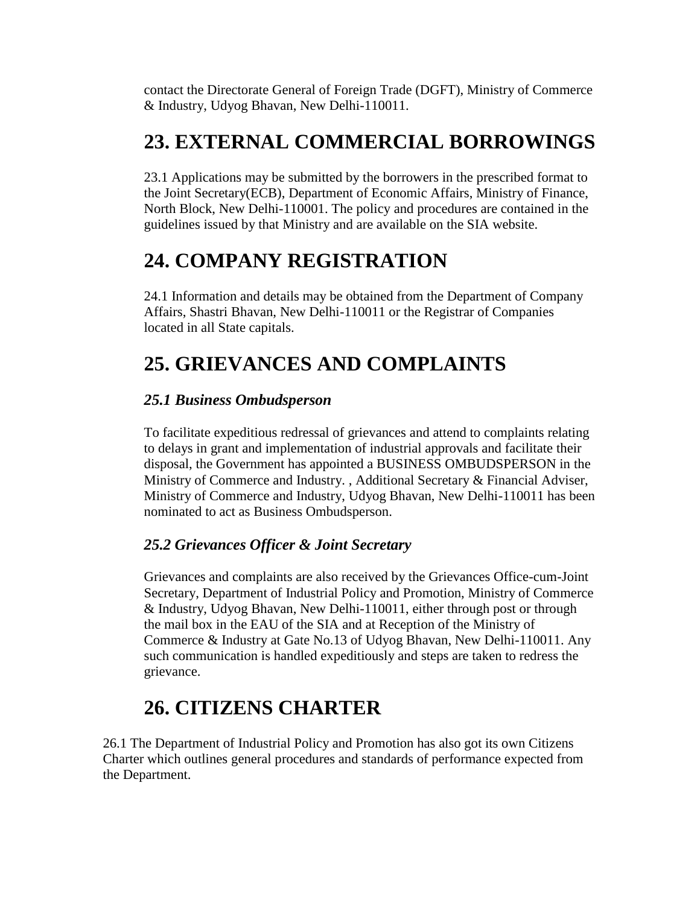contact the Directorate General of Foreign Trade (DGFT), Ministry of Commerce & Industry, Udyog Bhavan, New Delhi-110011.

### **23. EXTERNAL COMMERCIAL BORROWINGS**

23.1 Applications may be submitted by the borrowers in the prescribed format to the Joint Secretary(ECB), Department of Economic Affairs, Ministry of Finance, North Block, New Delhi-110001. The policy and procedures are contained in the guidelines issued by that Ministry and are available on the SIA website.

### **24. COMPANY REGISTRATION**

24.1 Information and details may be obtained from the Department of Company Affairs, Shastri Bhavan, New Delhi-110011 or the Registrar of Companies located in all State capitals.

### **25. GRIEVANCES AND COMPLAINTS**

#### *25.1 Business Ombudsperson*

To facilitate expeditious redressal of grievances and attend to complaints relating to delays in grant and implementation of industrial approvals and facilitate their disposal, the Government has appointed a BUSINESS OMBUDSPERSON in the Ministry of Commerce and Industry. , Additional Secretary & Financial Adviser, Ministry of Commerce and Industry, Udyog Bhavan, New Delhi-110011 has been nominated to act as Business Ombudsperson.

#### *25.2 Grievances Officer & Joint Secretary*

Grievances and complaints are also received by the Grievances Office-cum-Joint Secretary, Department of Industrial Policy and Promotion, Ministry of Commerce & Industry, Udyog Bhavan, New Delhi-110011, either through post or through the mail box in the EAU of the SIA and at Reception of the Ministry of Commerce & Industry at Gate No.13 of Udyog Bhavan, New Delhi-110011. Any such communication is handled expeditiously and steps are taken to redress the grievance.

### **26. CITIZENS CHARTER**

26.1 The Department of Industrial Policy and Promotion has also got its own Citizens Charter which outlines general procedures and standards of performance expected from the Department.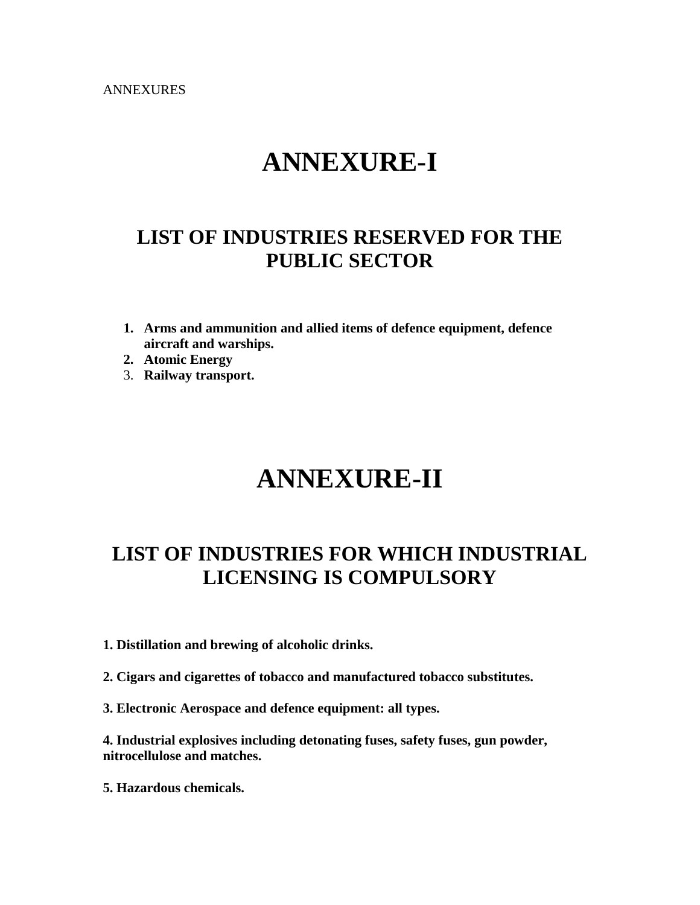ANNEXURES

## **ANNEXURE-I**

### **LIST OF INDUSTRIES RESERVED FOR THE PUBLIC SECTOR**

- **1. Arms and ammunition and allied items of defence equipment, defence aircraft and warships.**
- **2. Atomic Energy**
- 3. **Railway transport.**

## **ANNEXURE-II**

### **LIST OF INDUSTRIES FOR WHICH INDUSTRIAL LICENSING IS COMPULSORY**

- **1. Distillation and brewing of alcoholic drinks.**
- **2. Cigars and cigarettes of tobacco and manufactured tobacco substitutes.**
- **3. Electronic Aerospace and defence equipment: all types.**

**4. Industrial explosives including detonating fuses, safety fuses, gun powder, nitrocellulose and matches.** 

**5. Hazardous chemicals.**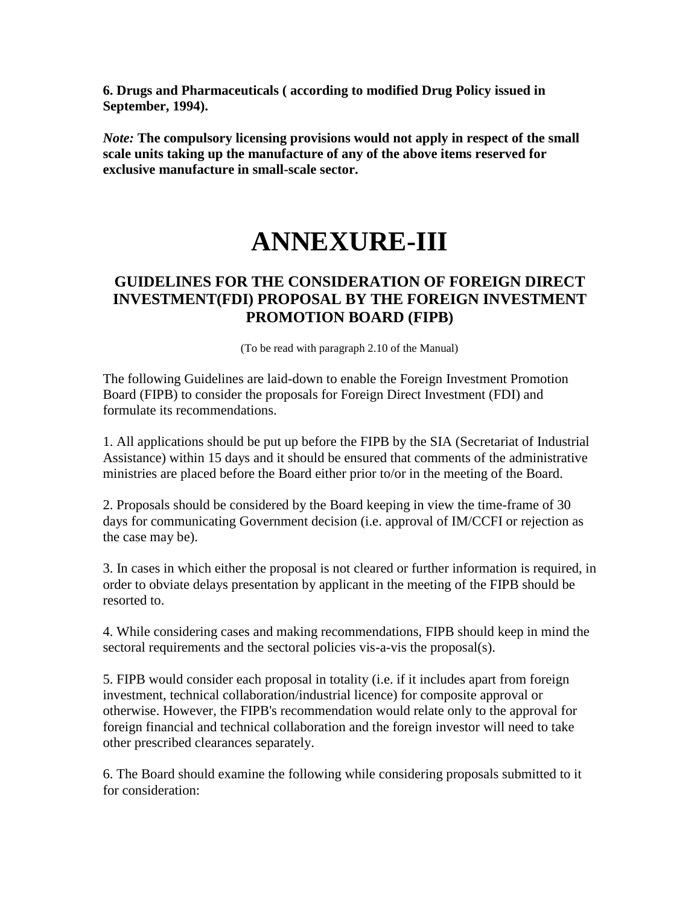**6. Drugs and Pharmaceuticals ( according to modified Drug Policy issued in September, 1994).** 

*Note:* **The compulsory licensing provisions would not apply in respect of the small scale units taking up the manufacture of any of the above items reserved for exclusive manufacture in small-scale sector.** 

# **ANNEXURE-III**

#### **GUIDELINES FOR THE CONSIDERATION OF FOREIGN DIRECT INVESTMENT(FDI) PROPOSAL BY THE FOREIGN INVESTMENT PROMOTION BOARD (FIPB)**

(To be read with paragraph 2.10 of the Manual)

The following Guidelines are laid-down to enable the Foreign Investment Promotion Board (FIPB) to consider the proposals for Foreign Direct Investment (FDI) and formulate its recommendations.

1. All applications should be put up before the FIPB by the SIA (Secretariat of Industrial Assistance) within 15 days and it should be ensured that comments of the administrative ministries are placed before the Board either prior to/or in the meeting of the Board.

2. Proposals should be considered by the Board keeping in view the time-frame of 30 days for communicating Government decision (i.e. approval of IM/CCFI or rejection as the case may be).

3. In cases in which either the proposal is not cleared or further information is required, in order to obviate delays presentation by applicant in the meeting of the FIPB should be resorted to.

4. While considering cases and making recommendations, FIPB should keep in mind the sectoral requirements and the sectoral policies vis-a-vis the proposal(s).

5. FIPB would consider each proposal in totality (i.e. if it includes apart from foreign investment, technical collaboration/industrial licence) for composite approval or otherwise. However, the FIPB's recommendation would relate only to the approval for foreign financial and technical collaboration and the foreign investor will need to take other prescribed clearances separately.

6. The Board should examine the following while considering proposals submitted to it for consideration: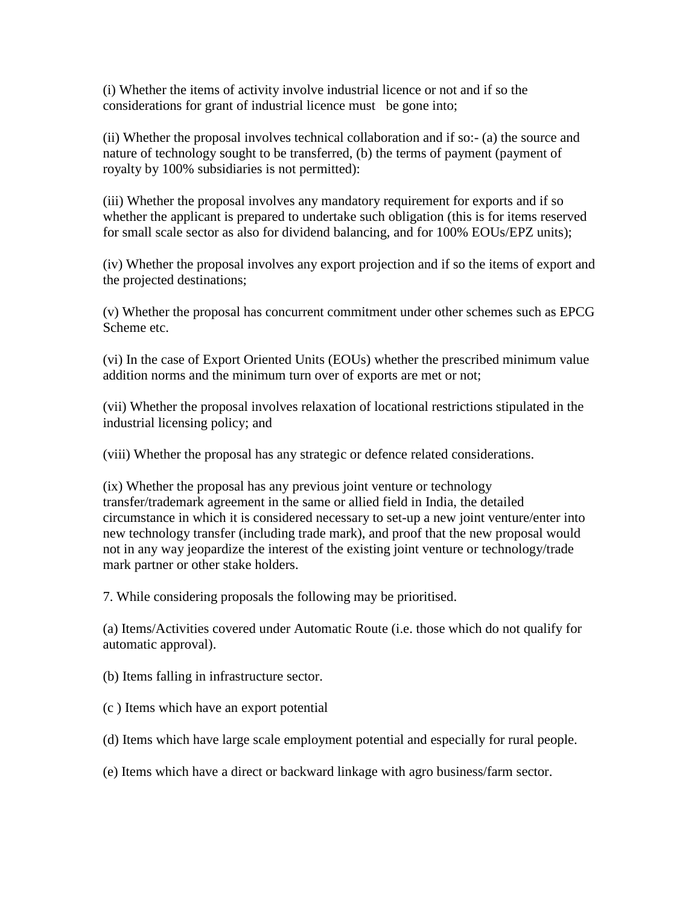(i) Whether the items of activity involve industrial licence or not and if so the considerations for grant of industrial licence must be gone into;

(ii) Whether the proposal involves technical collaboration and if so:- (a) the source and nature of technology sought to be transferred, (b) the terms of payment (payment of royalty by 100% subsidiaries is not permitted):

(iii) Whether the proposal involves any mandatory requirement for exports and if so whether the applicant is prepared to undertake such obligation (this is for items reserved for small scale sector as also for dividend balancing, and for 100% EOUs/EPZ units);

(iv) Whether the proposal involves any export projection and if so the items of export and the projected destinations;

(v) Whether the proposal has concurrent commitment under other schemes such as EPCG Scheme etc.

(vi) In the case of Export Oriented Units (EOUs) whether the prescribed minimum value addition norms and the minimum turn over of exports are met or not;

(vii) Whether the proposal involves relaxation of locational restrictions stipulated in the industrial licensing policy; and

(viii) Whether the proposal has any strategic or defence related considerations.

(ix) Whether the proposal has any previous joint venture or technology transfer/trademark agreement in the same or allied field in India, the detailed circumstance in which it is considered necessary to set-up a new joint venture/enter into new technology transfer (including trade mark), and proof that the new proposal would not in any way jeopardize the interest of the existing joint venture or technology/trade mark partner or other stake holders.

7. While considering proposals the following may be prioritised.

(a) Items/Activities covered under Automatic Route (i.e. those which do not qualify for automatic approval).

(b) Items falling in infrastructure sector.

(c ) Items which have an export potential

(d) Items which have large scale employment potential and especially for rural people.

(e) Items which have a direct or backward linkage with agro business/farm sector.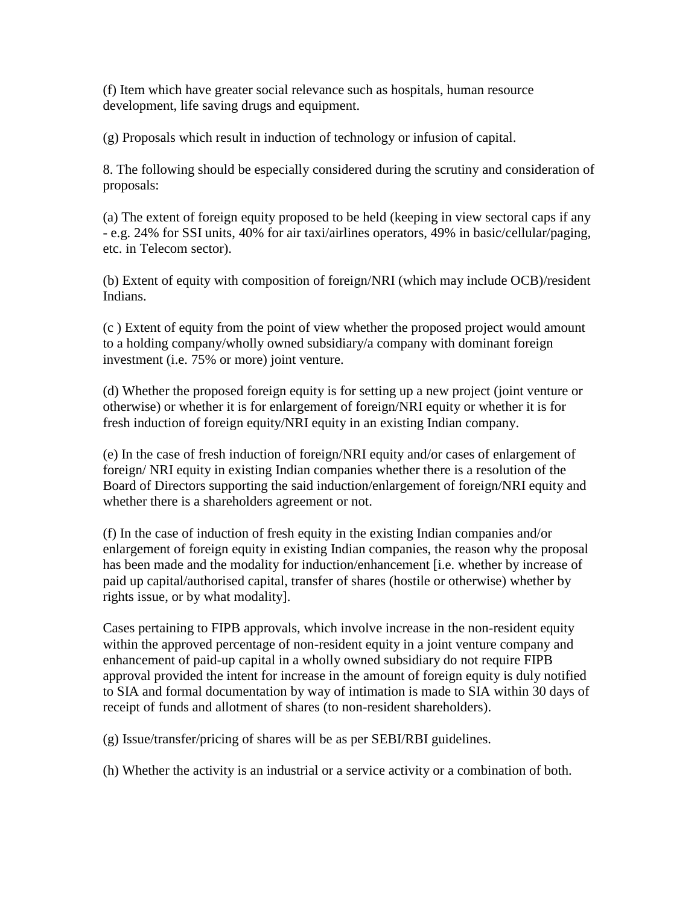(f) Item which have greater social relevance such as hospitals, human resource development, life saving drugs and equipment.

(g) Proposals which result in induction of technology or infusion of capital.

8. The following should be especially considered during the scrutiny and consideration of proposals:

(a) The extent of foreign equity proposed to be held (keeping in view sectoral caps if any - e.g. 24% for SSI units, 40% for air taxi/airlines operators, 49% in basic/cellular/paging, etc. in Telecom sector).

(b) Extent of equity with composition of foreign/NRI (which may include OCB)/resident Indians.

(c ) Extent of equity from the point of view whether the proposed project would amount to a holding company/wholly owned subsidiary/a company with dominant foreign investment (i.e. 75% or more) joint venture.

(d) Whether the proposed foreign equity is for setting up a new project (joint venture or otherwise) or whether it is for enlargement of foreign/NRI equity or whether it is for fresh induction of foreign equity/NRI equity in an existing Indian company.

(e) In the case of fresh induction of foreign/NRI equity and/or cases of enlargement of foreign/ NRI equity in existing Indian companies whether there is a resolution of the Board of Directors supporting the said induction/enlargement of foreign/NRI equity and whether there is a shareholders agreement or not.

(f) In the case of induction of fresh equity in the existing Indian companies and/or enlargement of foreign equity in existing Indian companies, the reason why the proposal has been made and the modality for induction/enhancement [i.e. whether by increase of paid up capital/authorised capital, transfer of shares (hostile or otherwise) whether by rights issue, or by what modality].

Cases pertaining to FIPB approvals, which involve increase in the non-resident equity within the approved percentage of non-resident equity in a joint venture company and enhancement of paid-up capital in a wholly owned subsidiary do not require FIPB approval provided the intent for increase in the amount of foreign equity is duly notified to SIA and formal documentation by way of intimation is made to SIA within 30 days of receipt of funds and allotment of shares (to non-resident shareholders).

(g) Issue/transfer/pricing of shares will be as per SEBI/RBI guidelines.

(h) Whether the activity is an industrial or a service activity or a combination of both.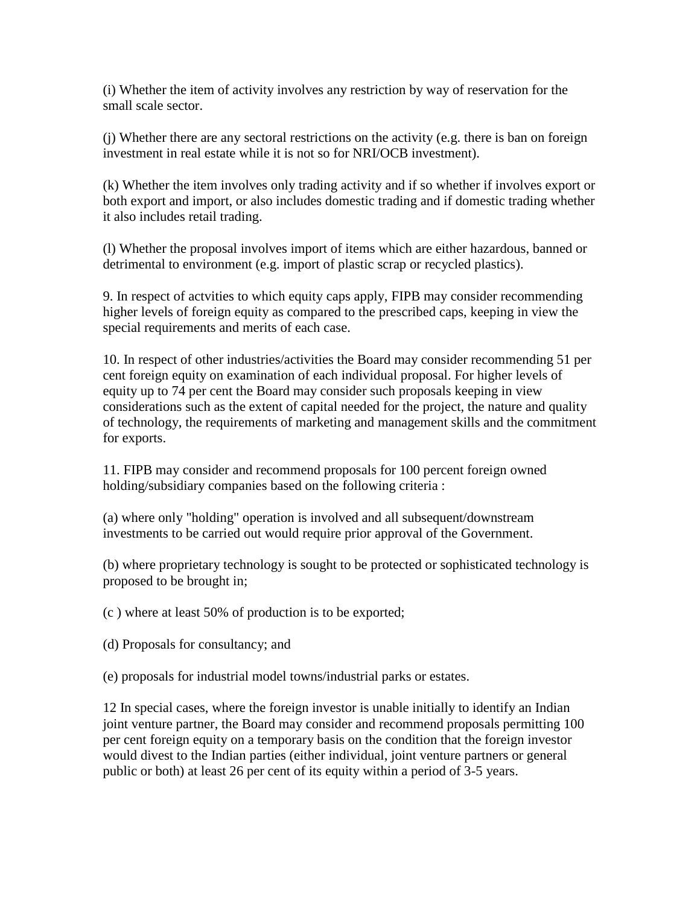(i) Whether the item of activity involves any restriction by way of reservation for the small scale sector.

(j) Whether there are any sectoral restrictions on the activity (e.g. there is ban on foreign investment in real estate while it is not so for NRI/OCB investment).

(k) Whether the item involves only trading activity and if so whether if involves export or both export and import, or also includes domestic trading and if domestic trading whether it also includes retail trading.

(l) Whether the proposal involves import of items which are either hazardous, banned or detrimental to environment (e.g. import of plastic scrap or recycled plastics).

9. In respect of actvities to which equity caps apply, FIPB may consider recommending higher levels of foreign equity as compared to the prescribed caps, keeping in view the special requirements and merits of each case.

10. In respect of other industries/activities the Board may consider recommending 51 per cent foreign equity on examination of each individual proposal. For higher levels of equity up to 74 per cent the Board may consider such proposals keeping in view considerations such as the extent of capital needed for the project, the nature and quality of technology, the requirements of marketing and management skills and the commitment for exports.

11. FIPB may consider and recommend proposals for 100 percent foreign owned holding/subsidiary companies based on the following criteria :

(a) where only "holding" operation is involved and all subsequent/downstream investments to be carried out would require prior approval of the Government.

(b) where proprietary technology is sought to be protected or sophisticated technology is proposed to be brought in;

(c ) where at least 50% of production is to be exported;

(d) Proposals for consultancy; and

(e) proposals for industrial model towns/industrial parks or estates.

12 In special cases, where the foreign investor is unable initially to identify an Indian joint venture partner, the Board may consider and recommend proposals permitting 100 per cent foreign equity on a temporary basis on the condition that the foreign investor would divest to the Indian parties (either individual, joint venture partners or general public or both) at least 26 per cent of its equity within a period of 3-5 years.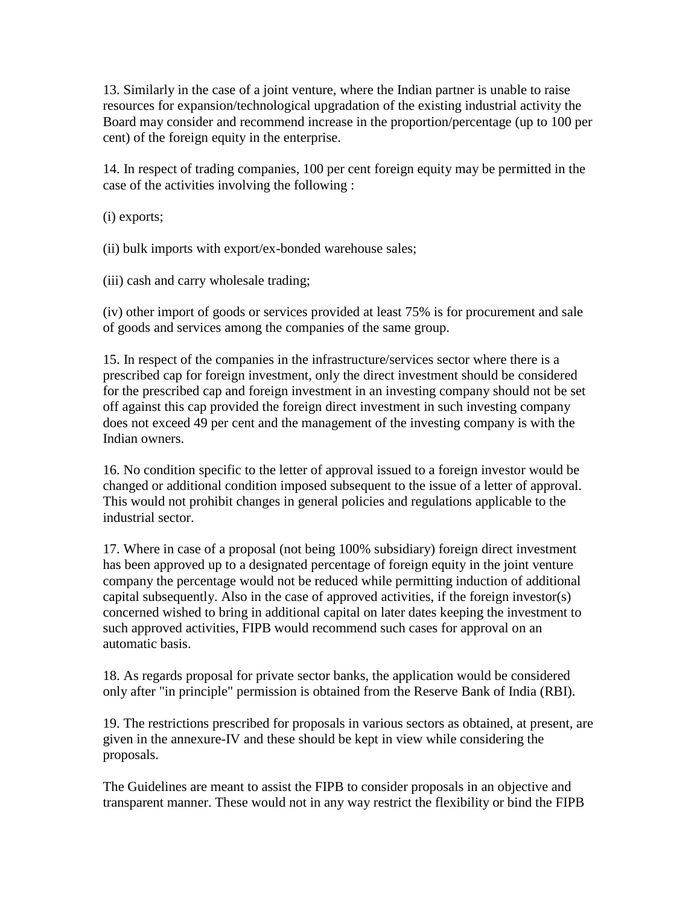13. Similarly in the case of a joint venture, where the Indian partner is unable to raise resources for expansion/technological upgradation of the existing industrial activity the Board may consider and recommend increase in the proportion/percentage (up to 100 per cent) of the foreign equity in the enterprise.

14. In respect of trading companies, 100 per cent foreign equity may be permitted in the case of the activities involving the following :

(i) exports;

(ii) bulk imports with export/ex-bonded warehouse sales;

(iii) cash and carry wholesale trading;

(iv) other import of goods or services provided at least 75% is for procurement and sale of goods and services among the companies of the same group.

15. In respect of the companies in the infrastructure/services sector where there is a prescribed cap for foreign investment, only the direct investment should be considered for the prescribed cap and foreign investment in an investing company should not be set off against this cap provided the foreign direct investment in such investing company does not exceed 49 per cent and the management of the investing company is with the Indian owners.

16. No condition specific to the letter of approval issued to a foreign investor would be changed or additional condition imposed subsequent to the issue of a letter of approval. This would not prohibit changes in general policies and regulations applicable to the industrial sector.

17. Where in case of a proposal (not being 100% subsidiary) foreign direct investment has been approved up to a designated percentage of foreign equity in the joint venture company the percentage would not be reduced while permitting induction of additional capital subsequently. Also in the case of approved activities, if the foreign investor(s) concerned wished to bring in additional capital on later dates keeping the investment to such approved activities, FIPB would recommend such cases for approval on an automatic basis.

18. As regards proposal for private sector banks, the application would be considered only after "in principle" permission is obtained from the Reserve Bank of India (RBI).

19. The restrictions prescribed for proposals in various sectors as obtained, at present, are given in the annexure-IV and these should be kept in view while considering the proposals.

The Guidelines are meant to assist the FIPB to consider proposals in an objective and transparent manner. These would not in any way restrict the flexibility or bind the FIPB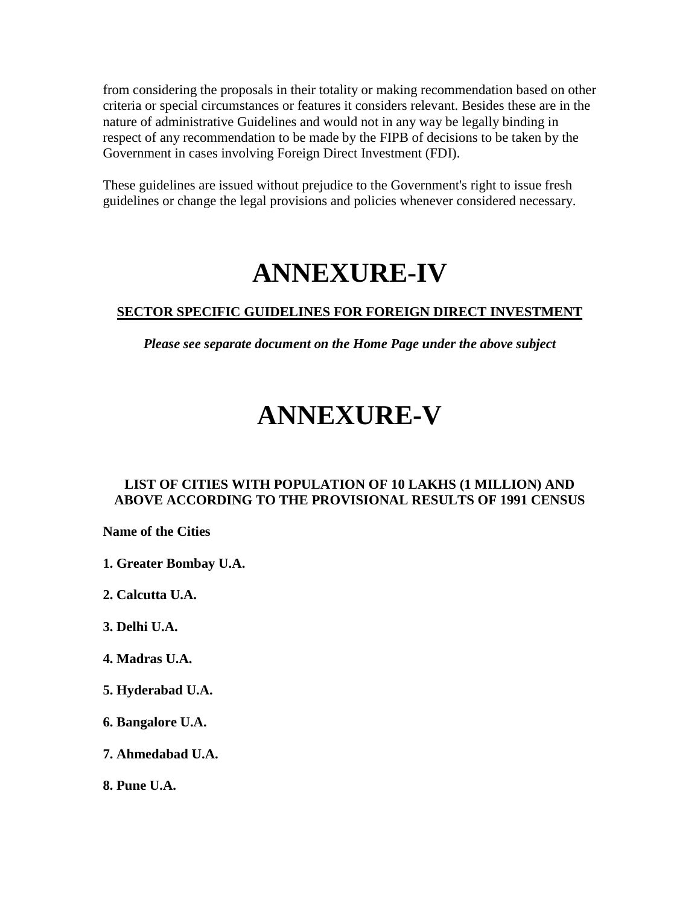from considering the proposals in their totality or making recommendation based on other criteria or special circumstances or features it considers relevant. Besides these are in the nature of administrative Guidelines and would not in any way be legally binding in respect of any recommendation to be made by the FIPB of decisions to be taken by the Government in cases involving Foreign Direct Investment (FDI).

These guidelines are issued without prejudice to the Government's right to issue fresh guidelines or change the legal provisions and policies whenever considered necessary.

## **ANNEXURE-IV**

#### **SECTOR SPECIFIC GUIDELINES FOR FOREIGN DIRECT INVESTMENT**

*Please see separate document on the Home Page under the above subject*

## **ANNEXURE-V**

#### **LIST OF CITIES WITH POPULATION OF 10 LAKHS (1 MILLION) AND ABOVE ACCORDING TO THE PROVISIONAL RESULTS OF 1991 CENSUS**

**Name of the Cities** 

**1. Greater Bombay U.A.** 

**2. Calcutta U.A.**

- **3. Delhi U.A.**
- **4. Madras U.A.**
- **5. Hyderabad U.A.**
- **6. Bangalore U.A.**
- **7. Ahmedabad U.A.**
- **8. Pune U.A.**